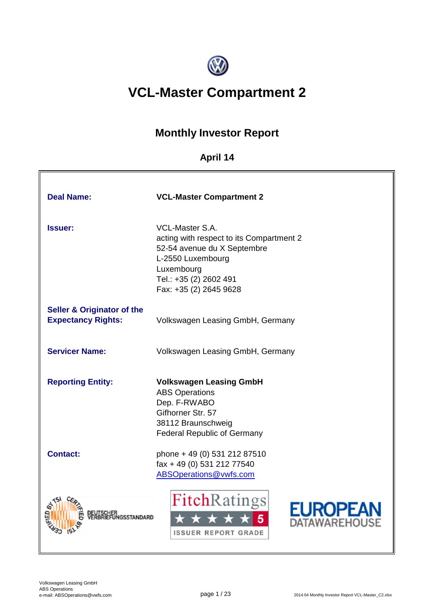

# **VCL-Master Compartment 2**

## **Monthly Investor Report**

## **April 14**

| <b>Deal Name:</b>                                                  | <b>VCL-Master Compartment 2</b>                                                                                                                                                          |
|--------------------------------------------------------------------|------------------------------------------------------------------------------------------------------------------------------------------------------------------------------------------|
| <b>Issuer:</b>                                                     | <b>VCL-Master S.A.</b><br>acting with respect to its Compartment 2<br>52-54 avenue du X Septembre<br>L-2550 Luxembourg<br>Luxembourg<br>Tel.: +35 (2) 2602 491<br>Fax: +35 (2) 2645 9628 |
| <b>Seller &amp; Originator of the</b><br><b>Expectancy Rights:</b> | Volkswagen Leasing GmbH, Germany                                                                                                                                                         |
| <b>Servicer Name:</b>                                              | Volkswagen Leasing GmbH, Germany                                                                                                                                                         |
| <b>Reporting Entity:</b>                                           | <b>Volkswagen Leasing GmbH</b><br><b>ABS Operations</b><br>Dep. F-RWABO<br>Gifhorner Str. 57<br>38112 Braunschweig<br><b>Federal Republic of Germany</b>                                 |
| <b>Contact:</b>                                                    | phone + 49 (0) 531 212 87510<br>fax + 49 (0) 531 212 77540<br><b>ABSOperations@vwfs.com</b>                                                                                              |
| <b>IGSSTANDARD</b>                                                 | <b>Fitch</b> Ratings<br>EUROPEA<br><b>TAWAREHOUS</b><br><b>ISSUER REPORT GRADE</b>                                                                                                       |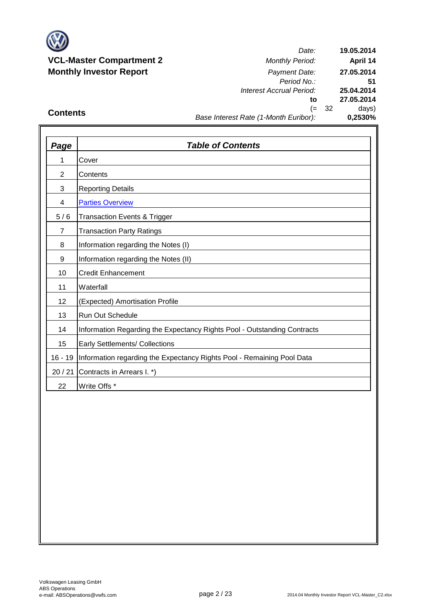

*Date: Period No.: Interest Accrual Period:* **to** (= 32 days) **25.04.2014 27.05.2014 0,2530% 19.05.2014 April 14 27.05.2014 51**

### **Contents**

### *Base Interest Rate (1-Month Euribor):*

| <b>Page</b>    | <b>Table of Contents</b>                                                 |
|----------------|--------------------------------------------------------------------------|
| 1              | Cover                                                                    |
| $\overline{2}$ | Contents                                                                 |
| 3              | <b>Reporting Details</b>                                                 |
| 4              | <b>Parties Overview</b>                                                  |
| 5/6            | <b>Transaction Events &amp; Trigger</b>                                  |
| $\overline{7}$ | <b>Transaction Party Ratings</b>                                         |
| 8              | Information regarding the Notes (I)                                      |
| 9              | Information regarding the Notes (II)                                     |
| 10             | <b>Credit Enhancement</b>                                                |
| 11             | Waterfall                                                                |
| 12             | (Expected) Amortisation Profile                                          |
| 13             | <b>Run Out Schedule</b>                                                  |
| 14             | Information Regarding the Expectancy Rights Pool - Outstanding Contracts |
| 15             | Early Settlements/ Collections                                           |
| $16 - 19$      | Information regarding the Expectancy Rights Pool - Remaining Pool Data   |
| 20/21          | Contracts in Arrears I. *)                                               |
| 22             | Write Offs *                                                             |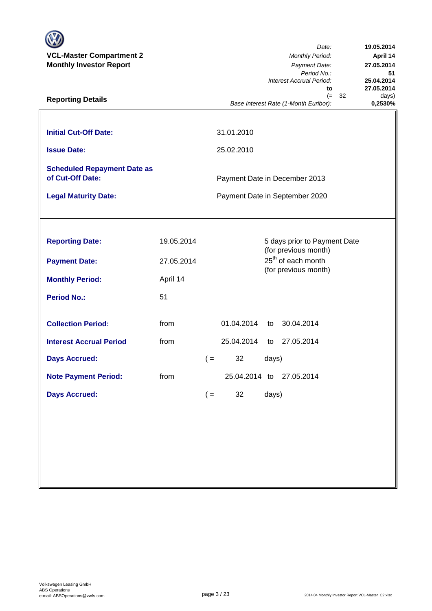| <b>VCL-Master Compartment 2</b><br><b>Monthly Investor Report</b><br><b>Reporting Details</b>                                              |                                            |                |                                                       |                            | Date:<br><b>Monthly Period:</b><br>Payment Date:<br>Period No.:<br>Interest Accrual Period:<br>to<br>32<br>$(=$<br>Base Interest Rate (1-Month Euribor): | 19.05.2014<br>April 14<br>27.05.2014<br>51<br>25.04.2014<br>27.05.2014<br>days)<br>0,2530% |
|--------------------------------------------------------------------------------------------------------------------------------------------|--------------------------------------------|----------------|-------------------------------------------------------|----------------------------|----------------------------------------------------------------------------------------------------------------------------------------------------------|--------------------------------------------------------------------------------------------|
| <b>Initial Cut-Off Date:</b><br><b>Issue Date:</b>                                                                                         |                                            |                | 31.01.2010<br>25.02.2010                              |                            |                                                                                                                                                          |                                                                                            |
| <b>Scheduled Repayment Date as</b><br>of Cut-Off Date:<br><b>Legal Maturity Date:</b>                                                      |                                            |                |                                                       |                            | Payment Date in December 2013<br>Payment Date in September 2020                                                                                          |                                                                                            |
| <b>Reporting Date:</b><br><b>Payment Date:</b><br><b>Monthly Period:</b><br><b>Period No.:</b>                                             | 19.05.2014<br>27.05.2014<br>April 14<br>51 |                |                                                       |                            | 5 days prior to Payment Date<br>(for previous month)<br>25 <sup>th</sup> of each month<br>(for previous month)                                           |                                                                                            |
| <b>Collection Period:</b><br><b>Interest Accrual Period</b><br><b>Days Accrued:</b><br><b>Note Payment Period:</b><br><b>Days Accrued:</b> | from<br>from<br>from                       | $($ =<br>$($ = | 01.04.2014<br>25.04.2014<br>32<br>25.04.2014 to<br>32 | to<br>to<br>days)<br>days) | 30.04.2014<br>27.05.2014<br>27.05.2014                                                                                                                   |                                                                                            |
|                                                                                                                                            |                                            |                |                                                       |                            |                                                                                                                                                          |                                                                                            |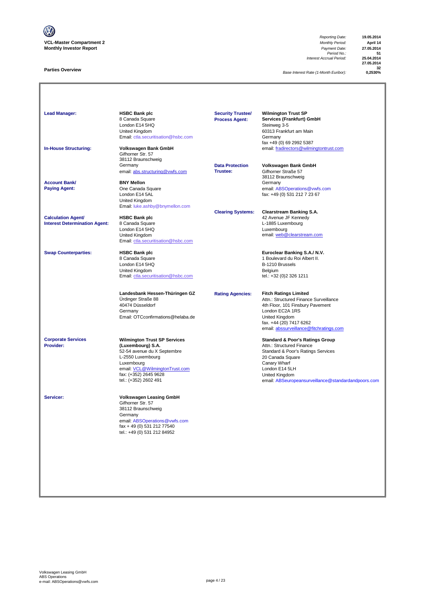

#### **Parties Overview**

*Reporting Date:* **19.05.2014** *Period No.:* **51** *Interest Accrual Period:* **25.04.2014**

**27.05.2014 32**

*Base Interest Rate (1-Month Euribor):* **0,2530%**

| <b>Lead Manager:</b>                                              | <b>HSBC Bank plc</b><br>8 Canada Square<br>London E14 5HQ<br>United Kingdom<br>Email: ctla.securitisation@hsbc.com                                                                                             | <b>Security Trustee/</b><br><b>Process Agent:</b> | <b>Wilmington Trust SP</b><br>Services (Frankfurt) GmbH<br>Steinweg 3-5<br>60313 Frankfurt am Main<br>Germany<br>fax +49 (0) 69 2992 5387                                                                                                    |
|-------------------------------------------------------------------|----------------------------------------------------------------------------------------------------------------------------------------------------------------------------------------------------------------|---------------------------------------------------|----------------------------------------------------------------------------------------------------------------------------------------------------------------------------------------------------------------------------------------------|
| <b>In-House Structuring:</b>                                      | Volkswagen Bank GmbH<br>Gifhorner Str. 57<br>38112 Braunschweig                                                                                                                                                |                                                   | email: fradirectors@wilmingtontrust.com                                                                                                                                                                                                      |
|                                                                   | Germany<br>email: abs.structuring@vwfs.com                                                                                                                                                                     | <b>Data Protection</b><br>Trustee:                | Volkswagen Bank GmbH<br>Gifhorner Straße 57<br>38112 Braunschweig                                                                                                                                                                            |
| <b>Account Bank/</b><br><b>Paying Agent:</b>                      | <b>BNY Mellon</b><br>One Canada Square<br>London E14 5AL<br>United Kingdom                                                                                                                                     |                                                   | Germany<br>email: ABSOperations@vwfs.com<br>fax: +49 (0) 531 212 7 23 67                                                                                                                                                                     |
| <b>Calculation Agent/</b><br><b>Interest Determination Agent:</b> | Email: luke.ashby@bnymellon.com<br><b>HSBC Bank plc</b><br>8 Canada Square<br>London E14 5HQ<br>United Kingdom<br>Email: ctla.securitisation@hsbc.com                                                          | <b>Clearing Systems:</b>                          | <b>Clearstream Banking S.A.</b><br>42 Avenue JF Kennedy<br>L-1885 Luxembourg<br>Luxembourg<br>email: web@clearstream.com                                                                                                                     |
| <b>Swap Counterparties:</b>                                       | <b>HSBC Bank plc</b><br>8 Canada Square<br>London E14 5HQ<br>United Kingdom<br>Email: ctla.securitisation@hsbc.com                                                                                             |                                                   | Euroclear Banking S.A./ N.V.<br>1 Boulevard du Roi Albert II.<br>B-1210 Brussels<br>Belgium<br>tel.: +32 (0)2 326 1211                                                                                                                       |
|                                                                   | Landesbank Hessen-Thüringen GZ<br>Ürdinger Straße 88<br>40474 Düsseldorf<br>Germany<br>Email: OTCconfirmations@helaba.de                                                                                       | <b>Rating Agencies:</b>                           | <b>Fitch Ratings Limited</b><br>Attn.: Structured Finance Surveillance<br>4th Floor, 101 Finsbury Pavement<br>London EC2A 1RS<br>United Kingdom<br>fax. +44 (20) 7417 6262<br>email: abssurveillance@fitchratings.com                        |
| <b>Corporate Services</b><br>Provider:                            | <b>Wilmington Trust SP Services</b><br>(Luxembourg) S.A.<br>52-54 avenue du X Septembre<br>L-2550 Luxembourg<br>Luxembourg<br>email: VCL@WilmingtonTrust.com<br>fax: (+352) 2645 9628<br>tel.: (+352) 2602 491 |                                                   | <b>Standard &amp; Poor's Ratings Group</b><br>Attn.: Structured Finance<br>Standard & Poor's Ratings Services<br>20 Canada Square<br>Canary Wharf<br>London E14 5LH<br>United Kingdom<br>email: ABSeuropeansurveillance@standardandpoors.com |
| Servicer:                                                         | <b>Volkswagen Leasing GmbH</b><br>Gifhorner Str. 57<br>38112 Braunschweig<br>Germany<br>email: ABSOperations@vwfs.com<br>fax + 49 (0) 531 212 77540<br>tel.: +49 (0) 531 212 84952                             |                                                   |                                                                                                                                                                                                                                              |
|                                                                   |                                                                                                                                                                                                                |                                                   |                                                                                                                                                                                                                                              |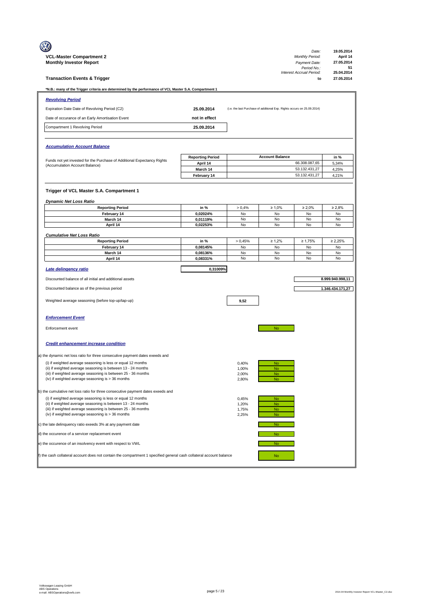| <b>VCL-Master Compartment 2</b><br><b>Monthly Investor Report</b>                                                             |                                     |                |                                                                         | Date:<br><b>Monthly Period:</b><br>Payment Date:<br>Period No.:<br>Interest Accrual Period: | 19.05.2014<br>April 14<br>27.05.2014<br>51<br>25.04.2014 |
|-------------------------------------------------------------------------------------------------------------------------------|-------------------------------------|----------------|-------------------------------------------------------------------------|---------------------------------------------------------------------------------------------|----------------------------------------------------------|
| <b>Transaction Events &amp; Trigger</b>                                                                                       |                                     |                |                                                                         | to                                                                                          | 27.05.2014                                               |
| *N.B.: many of the Trigger criteria are determined by the performance of VCL Master S.A. Compartment 1                        |                                     |                |                                                                         |                                                                                             |                                                          |
| <b>Revolving Period</b>                                                                                                       |                                     |                |                                                                         |                                                                                             |                                                          |
| Expiration Date Date of Revolving Period (C2)                                                                                 | 25.09.2014                          |                | (i.e. the last Purchase of additional Exp. Rights occurs on 25.09.2014) |                                                                                             |                                                          |
| Date of occurance of an Early Amortisation Event                                                                              | not in effect                       |                |                                                                         |                                                                                             |                                                          |
| Compartment 1 Revolving Period                                                                                                | 25.09.2014                          |                |                                                                         |                                                                                             |                                                          |
| <b>Accumulation Account Balance</b>                                                                                           |                                     |                |                                                                         |                                                                                             |                                                          |
|                                                                                                                               |                                     |                | <b>Account Balance</b>                                                  |                                                                                             |                                                          |
| Funds not yet invested for the Purchase of Additional Expectancy Rights                                                       | <b>Reporting Period</b><br>April 14 |                |                                                                         | 66.308.087,65                                                                               | in %<br>5,34%                                            |
| (Accumulation Account Balance)                                                                                                | March 14                            |                |                                                                         | 53.132.431,27                                                                               | 4,25%                                                    |
|                                                                                                                               | February 14                         |                |                                                                         | 53.132.431,27                                                                               | 4,21%                                                    |
| Trigger of VCL Master S.A. Compartment 1<br><b>Dynamic Net Loss Ratio</b><br><b>Reporting Period</b>                          | in %                                | > 0,4%         | $\geq 1,0\%$                                                            | $\geq 2.0\%$                                                                                | $\geq 2.8\%$                                             |
| February 14                                                                                                                   | 0,02024%                            | No             | No                                                                      | No                                                                                          | No                                                       |
| March 14                                                                                                                      | 0,01119%                            | No             | No                                                                      | No                                                                                          | No                                                       |
| April 14                                                                                                                      | 0.02253%                            | No             | No                                                                      | No                                                                                          | No                                                       |
| <b>Cumulative Net Loss Ratio</b>                                                                                              |                                     |                |                                                                         |                                                                                             |                                                          |
| <b>Reporting Period</b>                                                                                                       | in %                                | > 0,45%        | $\geq 1,2\%$                                                            | $\geq 1,75\%$                                                                               | $\geq 2,25\%$                                            |
| February 14<br>March 14                                                                                                       | 0,08145%<br>0,08136%                | No<br>No       | No<br>No                                                                | No<br>No                                                                                    | No<br>No                                                 |
| April 14                                                                                                                      | 0,08331%                            | No             | No                                                                      | No                                                                                          | No                                                       |
| Late delingency ratio                                                                                                         | 0,31009%                            |                |                                                                         |                                                                                             |                                                          |
| Discounted balance of all initial and additional assets                                                                       |                                     |                |                                                                         |                                                                                             | 8.999.940.998,11                                         |
| Discounted balance as of the previous period                                                                                  |                                     |                |                                                                         |                                                                                             | 1.346.434.171,27                                         |
| Weighted average seasoning (before top-up/tap-up)                                                                             |                                     | 9,52           |                                                                         |                                                                                             |                                                          |
| <b>Enforcement Event</b>                                                                                                      |                                     |                |                                                                         |                                                                                             |                                                          |
| Enforcement event                                                                                                             |                                     |                | No                                                                      |                                                                                             |                                                          |
| <b>Credit enhancement increase condition</b>                                                                                  |                                     |                |                                                                         |                                                                                             |                                                          |
| a) the dynamic net loss ratio for three consecutive payment dates exeeds and                                                  |                                     |                |                                                                         |                                                                                             |                                                          |
| (i) if weighted average seasoning is less or equal 12 months                                                                  |                                     | 0,40%          | <b>No</b>                                                               |                                                                                             |                                                          |
| (ii) if weighted average seasoning is between 13 - 24 months<br>(iii) if weighted average seasoning is between 25 - 36 months |                                     | 1,00%<br>2,00% | No<br><b>No</b>                                                         |                                                                                             |                                                          |
| (iv) if weighted average seasoning is > 36 months                                                                             |                                     | 2,80%          | <b>No</b>                                                               |                                                                                             |                                                          |
|                                                                                                                               |                                     |                |                                                                         |                                                                                             |                                                          |
| b) the cumulative net loss ratio for three consecutive payment dates exeeds and                                               |                                     |                |                                                                         |                                                                                             |                                                          |
| (i) if weighted average seasoning is less or equal 12 months<br>(ii) if weighted average seasoning is between 13 - 24 months  |                                     | 0,45%<br>1,20% | No<br><b>No</b>                                                         |                                                                                             |                                                          |
| (iii) if weighted average seasoning is between 25 - 36 months<br>(iv) if weighted average seasoning is > 36 months            |                                     | 1,75%<br>2,25% | <b>No</b><br><b>No</b>                                                  |                                                                                             |                                                          |
| c) the late delinquency ratio exeeds 3% at any payment date                                                                   |                                     |                | <b>No</b>                                                               |                                                                                             |                                                          |
| d) the occurence of a servicer replacement event                                                                              |                                     |                | <b>No</b>                                                               |                                                                                             |                                                          |
| e) the occurence of an insolvency event with respect to VWL                                                                   |                                     |                | No                                                                      |                                                                                             |                                                          |
| f) the cash collateral account does not contain the compartment 1 specified general cash collateral account balance           |                                     |                | <b>No</b>                                                               |                                                                                             |                                                          |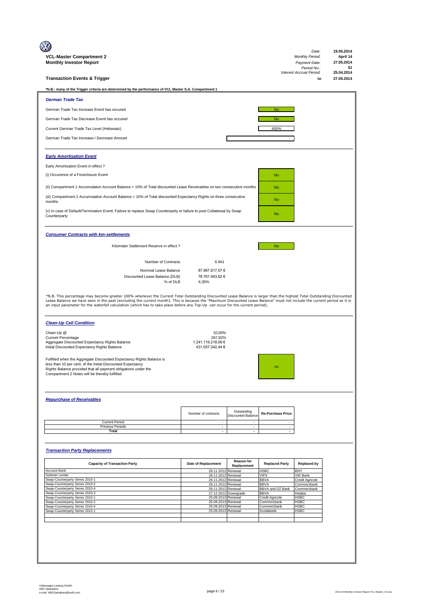| VCL-Master Compartment 2                                                                                                                                                                                                                                                                                    |                                          |                                                       |                                 | Date:<br><b>Monthly Period:</b>         | 19.05.2014<br>April 14 |
|-------------------------------------------------------------------------------------------------------------------------------------------------------------------------------------------------------------------------------------------------------------------------------------------------------------|------------------------------------------|-------------------------------------------------------|---------------------------------|-----------------------------------------|------------------------|
| <b>Monthly Investor Report</b>                                                                                                                                                                                                                                                                              |                                          |                                                       |                                 | Payment Date:                           | 27.05.2014             |
|                                                                                                                                                                                                                                                                                                             |                                          |                                                       |                                 | Period No.:<br>Interest Accrual Period: | 51<br>25.04.2014       |
| <b>Transaction Events &amp; Trigger</b>                                                                                                                                                                                                                                                                     |                                          |                                                       |                                 | to                                      | 27.05.2014             |
|                                                                                                                                                                                                                                                                                                             |                                          |                                                       |                                 |                                         |                        |
| *N.B.: many of the Trigger criteria are determined by the performance of VCL Master S.A. Compartment 1                                                                                                                                                                                                      |                                          |                                                       |                                 |                                         |                        |
| <b>German Trade Tax</b>                                                                                                                                                                                                                                                                                     |                                          |                                                       |                                 |                                         |                        |
| German Trade Tax Increase Event has occured                                                                                                                                                                                                                                                                 |                                          |                                                       | <b>No</b>                       |                                         |                        |
|                                                                                                                                                                                                                                                                                                             |                                          |                                                       |                                 |                                         |                        |
| German Trade Tax Decrease Event has occured                                                                                                                                                                                                                                                                 |                                          |                                                       | <b>No</b>                       |                                         |                        |
| Current German Trade Tax Level (Hebesatz)                                                                                                                                                                                                                                                                   |                                          |                                                       | 450%                            |                                         |                        |
| German Trade Tax Increase-/ Decrease Amount                                                                                                                                                                                                                                                                 |                                          |                                                       |                                 |                                         |                        |
|                                                                                                                                                                                                                                                                                                             |                                          |                                                       |                                 |                                         |                        |
|                                                                                                                                                                                                                                                                                                             |                                          |                                                       |                                 |                                         |                        |
| <b>Early Amortisation Event</b>                                                                                                                                                                                                                                                                             |                                          |                                                       |                                 |                                         |                        |
| Early Amortisation Event in effect?                                                                                                                                                                                                                                                                         |                                          |                                                       |                                 |                                         |                        |
| (i) Occurence of a Foreclosure Event                                                                                                                                                                                                                                                                        |                                          |                                                       | <b>No</b>                       |                                         |                        |
|                                                                                                                                                                                                                                                                                                             |                                          |                                                       |                                 |                                         |                        |
| (ii) Compartment 1 Accumulation Account Balance > 10% of Total discounted Lease Receivables on two consecutive months                                                                                                                                                                                       |                                          |                                                       | <b>No</b>                       |                                         |                        |
| (iii) Compartment 2 Accumulation Account Balance > 10% of Total discounted Expectancy Rights on three consecutive                                                                                                                                                                                           |                                          |                                                       |                                 |                                         |                        |
| months                                                                                                                                                                                                                                                                                                      |                                          |                                                       | <b>No</b>                       |                                         |                        |
| (v) In case of Default/Termination Event: Failure to replace Swap Counterparty or failure to post Collatereal by Swap                                                                                                                                                                                       |                                          |                                                       |                                 |                                         |                        |
| Counterparty                                                                                                                                                                                                                                                                                                |                                          |                                                       | <b>No</b>                       |                                         |                        |
|                                                                                                                                                                                                                                                                                                             |                                          |                                                       |                                 |                                         |                        |
| <b>Consumer Contracts with km-settlements</b>                                                                                                                                                                                                                                                               |                                          |                                                       |                                 |                                         |                        |
|                                                                                                                                                                                                                                                                                                             |                                          |                                                       |                                 |                                         |                        |
| Kilometer Settlement Reserve in effect ?                                                                                                                                                                                                                                                                    |                                          |                                                       | <b>No</b>                       |                                         |                        |
|                                                                                                                                                                                                                                                                                                             |                                          |                                                       |                                 |                                         |                        |
| Number of Contracts                                                                                                                                                                                                                                                                                         | 6.941                                    |                                                       |                                 |                                         |                        |
| Nominal Lease Balance                                                                                                                                                                                                                                                                                       | 87.967.817,57 €                          |                                                       |                                 |                                         |                        |
| Discounted Lease Balance (DLB)                                                                                                                                                                                                                                                                              | 78.761.943,62 €                          |                                                       |                                 |                                         |                        |
| % of DLB                                                                                                                                                                                                                                                                                                    | 6,35%                                    |                                                       |                                 |                                         |                        |
| Lease Balance we have seen in the past (excluding the current month). This is because the "Maximum Discounted Lease Balance" must not include the current period as it is<br>an input parameter for the waterfall calculation (which has to take place before any Top-Up can occur for the current period). |                                          |                                                       |                                 |                                         |                        |
| <b>Clean-Up Call Condition</b>                                                                                                                                                                                                                                                                              |                                          |                                                       |                                 |                                         |                        |
|                                                                                                                                                                                                                                                                                                             |                                          |                                                       |                                 |                                         |                        |
| Clean-Up @                                                                                                                                                                                                                                                                                                  | 10,00%                                   |                                                       |                                 |                                         |                        |
| <b>Current Percentage</b>                                                                                                                                                                                                                                                                                   | 287,92%                                  |                                                       |                                 |                                         |                        |
| Aggregate Discounted Expectancy Rights Balance<br>Initial Discounted Expectancy Rights Balance                                                                                                                                                                                                              | 1.241.119.218,06 €<br>431.057.042,44 €   |                                                       |                                 |                                         |                        |
|                                                                                                                                                                                                                                                                                                             |                                          |                                                       |                                 |                                         |                        |
| Fulfilled when the Aggregate Discounted Expectancy Rights Balance is                                                                                                                                                                                                                                        |                                          |                                                       |                                 |                                         |                        |
| less than 10 per cent. of the Initial Discounted Expectancy<br>Rights Balance provided that all payment obligations under the                                                                                                                                                                               |                                          |                                                       |                                 |                                         |                        |
| Compartment 2 Notes will be thereby fulfilled                                                                                                                                                                                                                                                               |                                          |                                                       |                                 |                                         |                        |
|                                                                                                                                                                                                                                                                                                             |                                          |                                                       |                                 |                                         |                        |
|                                                                                                                                                                                                                                                                                                             |                                          |                                                       |                                 |                                         |                        |
| <b>Repurchase of Receivables</b>                                                                                                                                                                                                                                                                            |                                          |                                                       |                                 |                                         |                        |
|                                                                                                                                                                                                                                                                                                             |                                          |                                                       |                                 |                                         |                        |
|                                                                                                                                                                                                                                                                                                             | Number of contracts                      | Outstanding                                           | <b>Re-Purchase Price</b>        |                                         |                        |
| <b>Current Period</b>                                                                                                                                                                                                                                                                                       | $\sim$                                   | <b>Discounted Balance</b><br>$\overline{\phantom{a}}$ |                                 |                                         |                        |
| Previous Periods                                                                                                                                                                                                                                                                                            | $\sim$                                   | $\sim$                                                | $\sim$<br>$\sim$                |                                         |                        |
| Total                                                                                                                                                                                                                                                                                                       | $\overline{\phantom{a}}$                 | $\sim$                                                | $\overline{\phantom{a}}$        |                                         |                        |
|                                                                                                                                                                                                                                                                                                             |                                          |                                                       |                                 |                                         |                        |
| <b>Transaction Party Replacements</b>                                                                                                                                                                                                                                                                       |                                          |                                                       |                                 |                                         |                        |
|                                                                                                                                                                                                                                                                                                             |                                          |                                                       |                                 |                                         |                        |
| <b>Capacity of Transaction Party</b>                                                                                                                                                                                                                                                                        | Date of Replacement                      | <b>Reason for</b><br>Replacement                      | <b>Replaced Party</b>           | <b>Replaced by</b>                      |                        |
| Account Bank                                                                                                                                                                                                                                                                                                | 26.11.2012 Renewal                       |                                                       | <b>HSBC</b>                     | <b>BNY</b>                              |                        |
| Subloan Lender<br>Swap-Counterparty Series 2010-1                                                                                                                                                                                                                                                           | 26.11.2012 Renewal<br>26.11.2012 Renewal |                                                       | <b>VIPS</b><br><b>BBVA</b>      | <b>VW Bank</b><br>Credit Agricole       |                        |
| Swap-Counterparty Series 2010-2                                                                                                                                                                                                                                                                             | 26.11.2012                               | Renewal                                               | <b>BBVA</b>                     | Commerzbank                             |                        |
| Swap-Counterparty Series 2010-4<br>Swap-Counterparty Series 2010-3                                                                                                                                                                                                                                          | 26.11.2012 Renewal                       | 27.12.2012 Downgrade                                  | BBVA and DZ Bank<br><b>BBVA</b> | Commerzbank<br>Helaba                   |                        |
| Swap-Counterparty Series 2010-1<br>Swap-Counterparty Series 2010-2                                                                                                                                                                                                                                          | 25.09.2013 Renewal<br>25.09.2013 Renewal |                                                       | Credit Agricole<br>Commerzbank  | <b>HSBC</b><br><b>HSBC</b>              |                        |
| Swap-Counterparty Series 2010-4                                                                                                                                                                                                                                                                             | 25.09.2013 Renewal                       |                                                       | Commerzbank                     | <b>HSBC</b>                             |                        |
| Swap-Counterparty Series 2013-1                                                                                                                                                                                                                                                                             | 25.09.2013 Renewal                       |                                                       | Scotiabank                      | <b>HSBC</b>                             |                        |
|                                                                                                                                                                                                                                                                                                             |                                          |                                                       |                                 |                                         |                        |
|                                                                                                                                                                                                                                                                                                             |                                          |                                                       |                                 |                                         |                        |
|                                                                                                                                                                                                                                                                                                             |                                          |                                                       |                                 |                                         |                        |
|                                                                                                                                                                                                                                                                                                             |                                          |                                                       |                                 |                                         |                        |
|                                                                                                                                                                                                                                                                                                             |                                          |                                                       |                                 |                                         |                        |
|                                                                                                                                                                                                                                                                                                             |                                          |                                                       |                                 |                                         |                        |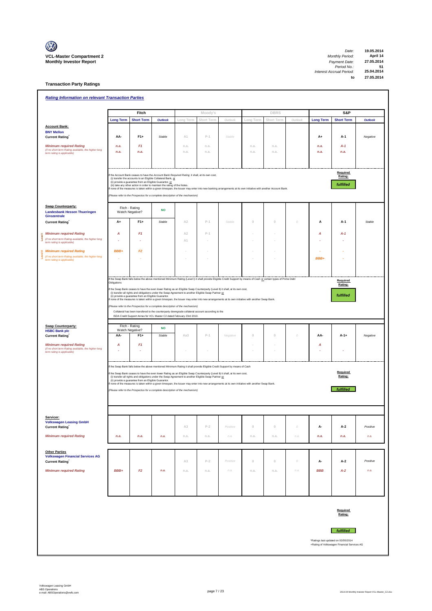

**Transaction Party Ratings**

| <b>Rating Information on relevant Transaction Parties</b>                                                           |                        |                                                         |                                                                                                                                                                                                                                                         |              |              |          |              |              |          |                  |                                             |                |
|---------------------------------------------------------------------------------------------------------------------|------------------------|---------------------------------------------------------|---------------------------------------------------------------------------------------------------------------------------------------------------------------------------------------------------------------------------------------------------------|--------------|--------------|----------|--------------|--------------|----------|------------------|---------------------------------------------|----------------|
|                                                                                                                     |                        | Fitch                                                   |                                                                                                                                                                                                                                                         |              | Moody's      |          |              | <b>DBRS</b>  |          |                  | S&P                                         |                |
|                                                                                                                     | <b>Long Term</b>       | <b>Short Term</b>                                       | <b>Outlook</b>                                                                                                                                                                                                                                          | Long Term    | Short Term   | Outlook  | Long Term    | Short Term   | Outlook  | <b>Long Term</b> | <b>Short Term</b>                           | <b>Outlook</b> |
| <b>Account Bank:</b>                                                                                                |                        |                                                         |                                                                                                                                                                                                                                                         |              |              |          |              |              |          |                  |                                             |                |
| <b>BNY Mellon</b><br><b>Current Rating</b>                                                                          | AA-                    | $F1+$                                                   | Stable                                                                                                                                                                                                                                                  | A1           | $P-1$        | Stable   |              |              |          | $A+$             | A-1                                         | Negative       |
|                                                                                                                     |                        | F <sub>1</sub>                                          |                                                                                                                                                                                                                                                         |              |              |          |              |              |          |                  |                                             |                |
| <b>Minimum required Rating</b><br>(if no short term Rating available, the higher long<br>term rating is applicable) | n.a.<br>n.a.           | n.a.                                                    |                                                                                                                                                                                                                                                         | n.a.<br>n.a. | n.a.<br>n.a. |          | n.a.<br>n.a. | n.a.<br>n.a. |          | n.a.<br>n.a.     | A-1<br>n.a.                                 |                |
|                                                                                                                     |                        |                                                         |                                                                                                                                                                                                                                                         |              |              |          |              |              |          |                  |                                             |                |
|                                                                                                                     |                        |                                                         |                                                                                                                                                                                                                                                         |              |              |          |              |              |          |                  |                                             |                |
|                                                                                                                     |                        |                                                         | f the Account Bank ceases to have the Account Bank Required Rating it shall, at its own cost,                                                                                                                                                           |              |              |          |              |              |          |                  | Required<br>Rating:                         |                |
|                                                                                                                     |                        | (ii) provide a guarantee from an Eligible Guarantor, or | (i) transfer the accounts to an Eligible Collateral Bank, or                                                                                                                                                                                            |              |              |          |              |              |          |                  | fulfilled                                   |                |
|                                                                                                                     |                        |                                                         | (iii) take any other action in order to maintain the rating of the Notes.<br>f none of the measures is taken within a given timespan, the Issuer may enter into new banking arrangements at its own initiative with another Account Bank.               |              |              |          |              |              |          |                  |                                             |                |
|                                                                                                                     |                        |                                                         | (Please refer to the Prospectus for a complete description of the mechanism)                                                                                                                                                                            |              |              |          |              |              |          |                  |                                             |                |
| <b>Swap Counterparty:</b>                                                                                           |                        | Fitch - Rating                                          |                                                                                                                                                                                                                                                         |              |              |          |              |              |          |                  |                                             |                |
| <b>Landesbank Hessen Thueringen</b><br>Girozentrale                                                                 |                        | Watch Negative?                                         | <b>NO</b>                                                                                                                                                                                                                                               |              |              |          |              |              |          |                  |                                             |                |
| <b>Current Rating</b>                                                                                               | A+                     | $F1+$                                                   | Stable                                                                                                                                                                                                                                                  | A2           | $P-1$        | Stable   | $\,0\,$      | $\cup$       | 0        | A                | A-1                                         | Stable         |
|                                                                                                                     |                        |                                                         |                                                                                                                                                                                                                                                         |              |              |          |              |              |          |                  |                                             |                |
| <b>Minimum required Rating</b><br>ۇ<br>(if no short term Rating available, the higher long                          | Α                      | F <sub>1</sub>                                          |                                                                                                                                                                                                                                                         | A2<br>A1     | $P-1$        |          |              |              |          | Α                | A-1                                         |                |
| term rating is applicable)                                                                                          |                        |                                                         |                                                                                                                                                                                                                                                         |              |              |          |              |              |          |                  |                                             |                |
| <b>Minimum required Rating</b><br>(if no short term Rating available, the higher long                               | BBB+                   | F2                                                      |                                                                                                                                                                                                                                                         |              |              |          |              |              |          |                  |                                             |                |
| term rating is applicable)                                                                                          |                        |                                                         |                                                                                                                                                                                                                                                         |              |              |          |              |              |          | BBB+             |                                             |                |
|                                                                                                                     |                        |                                                         |                                                                                                                                                                                                                                                         |              |              |          |              |              |          |                  |                                             |                |
|                                                                                                                     |                        |                                                         | If the Swap Bank falls below the above mentioned Minimum Rating (Level I) it shall provide Eligible Credit Support by means of Cash or certain types of Prime Debt                                                                                      |              |              |          |              |              |          |                  |                                             |                |
|                                                                                                                     | Obligations            |                                                         |                                                                                                                                                                                                                                                         |              |              |          |              |              |          |                  | Required<br>Rating:                         |                |
|                                                                                                                     |                        | (ii) provide a guarantee from an Eligible Guarantor.    | f the Swap Bank ceases to have the even lower Rating as an Eligible Swap Counterparty (Level II) it shall, at its own cost,<br>(i) transfer all rights and obligations under the Swap Agreement to another Eligible Swap Partner or                     |              |              |          |              |              |          |                  | fulfilled                                   |                |
|                                                                                                                     |                        |                                                         | If none of the measures is taken within a given timespan, the Issuer may enter into new arrangements at its own initiative with another Swap Bank.                                                                                                      |              |              |          |              |              |          |                  |                                             |                |
|                                                                                                                     |                        |                                                         | (Please refer to the Prospectus for a complete description of the mechanism)<br>Collateral has been transfered to the counterparty downgrade collateral account according to the                                                                        |              |              |          |              |              |          |                  |                                             |                |
|                                                                                                                     |                        |                                                         | ISDA Credit Support Annex for VCL Master C2 dated February 23rd 2010.                                                                                                                                                                                   |              |              |          |              |              |          |                  |                                             |                |
| <b>Swap Counterparty:</b>                                                                                           |                        | Fitch - Rating                                          |                                                                                                                                                                                                                                                         |              |              |          |              |              |          |                  |                                             |                |
| <b>HSBC Bank plc</b><br><b>Current Rating</b>                                                                       | Watch Negative?<br>AA- | $F1+$                                                   | <b>NO</b><br>Stable                                                                                                                                                                                                                                     | Aa3          | $P-1$        | Negative | $\mathbb O$  | $\,0\,$      | 0        | AA-              | $A - 1 +$                                   | Negative       |
|                                                                                                                     |                        |                                                         |                                                                                                                                                                                                                                                         |              |              |          |              |              |          |                  |                                             |                |
| <b>Minimum required Rating</b><br>(if no short term Rating available, the higher long                               | A                      | F <sub>1</sub>                                          |                                                                                                                                                                                                                                                         |              |              |          |              |              |          | Α                |                                             |                |
| term rating is applicable)                                                                                          |                        |                                                         |                                                                                                                                                                                                                                                         |              |              |          |              |              |          |                  |                                             |                |
|                                                                                                                     |                        |                                                         | If the Swap Bank falls below the above mentioned Minimum Rating it shall provide Eligible Credit Support by means of Cash                                                                                                                               |              |              |          |              |              |          |                  |                                             |                |
|                                                                                                                     |                        |                                                         | f the Swap Bank ceases to have the even lower Rating as an Eligible Swap Counterparty (Level II) it shall, at its own cost,                                                                                                                             |              |              |          |              |              |          |                  | Required                                    |                |
|                                                                                                                     |                        | (ii) provide a guarantee from an Eligible Guarantor.    | (i) transfer all rights and obligations under the Swap Agreement to another Eligible Swap Partner or<br>none of the measures is taken within a given timespan, the Issuer may enter into new arrangements at its own initiative with another Swap Bank. |              |              |          |              |              |          |                  | Rating:                                     |                |
|                                                                                                                     |                        |                                                         | (Please refer to the Prospectus for a complete description of the mechanism)                                                                                                                                                                            |              |              |          |              |              |          |                  | fulfilled                                   |                |
|                                                                                                                     |                        |                                                         |                                                                                                                                                                                                                                                         |              |              |          |              |              |          |                  |                                             |                |
|                                                                                                                     |                        |                                                         |                                                                                                                                                                                                                                                         |              |              |          |              |              |          |                  |                                             |                |
|                                                                                                                     |                        |                                                         |                                                                                                                                                                                                                                                         |              |              |          |              |              |          |                  |                                             |                |
| Servicer:<br><b>Volkswagen Leasing GmbH</b>                                                                         |                        |                                                         |                                                                                                                                                                                                                                                         |              |              |          |              |              |          |                  |                                             |                |
| <b>Current Rating</b>                                                                                               |                        |                                                         |                                                                                                                                                                                                                                                         | A3           | $P-2$        | Positive | $\mathbb O$  | $\mathbb O$  | $\theta$ | А-               | A-2                                         | Positive       |
| <b>Minimum required Rating</b>                                                                                      | n.a.                   | n.a.                                                    | n.a.                                                                                                                                                                                                                                                    | n.a.         | n.a.         | n.a.     | n.a.         | n.a.         | n.a.     | n.a.             | n.a.                                        | n.a.           |
|                                                                                                                     |                        |                                                         |                                                                                                                                                                                                                                                         |              |              |          |              |              |          |                  |                                             |                |
| <b>Other Parties</b><br><b>Volkswagen Financial Services AG</b>                                                     |                        |                                                         |                                                                                                                                                                                                                                                         |              |              |          |              |              |          |                  |                                             |                |
| <b>Current Rating</b>                                                                                               |                        |                                                         |                                                                                                                                                                                                                                                         | A3           | $P-2$        | Positive | $\,0\,$      | $\mathbb O$  | $\cal O$ | А-               | A-2                                         | Positive       |
| <b>Minimum required Rating</b>                                                                                      | BBB+                   | F2                                                      | n.a.                                                                                                                                                                                                                                                    | n.a.         | n.a.         | n.a.     | n.a.         | n.a.         | n.a.     | <b>BBB</b>       | $A-2$                                       | n.a.           |
|                                                                                                                     |                        |                                                         |                                                                                                                                                                                                                                                         |              |              |          |              |              |          |                  |                                             |                |
|                                                                                                                     |                        |                                                         |                                                                                                                                                                                                                                                         |              |              |          |              |              |          |                  |                                             |                |
|                                                                                                                     |                        |                                                         |                                                                                                                                                                                                                                                         |              |              |          |              |              |          |                  |                                             |                |
|                                                                                                                     |                        |                                                         |                                                                                                                                                                                                                                                         |              |              |          |              |              |          |                  |                                             |                |
|                                                                                                                     |                        |                                                         |                                                                                                                                                                                                                                                         |              |              |          |              |              |          |                  | Required                                    |                |
|                                                                                                                     |                        |                                                         |                                                                                                                                                                                                                                                         |              |              |          |              |              |          |                  | Rating:                                     |                |
|                                                                                                                     |                        |                                                         |                                                                                                                                                                                                                                                         |              |              |          |              |              |          |                  |                                             |                |
|                                                                                                                     |                        |                                                         |                                                                                                                                                                                                                                                         |              |              |          |              |              |          |                  | <b>fulfilled</b>                            |                |
|                                                                                                                     |                        |                                                         |                                                                                                                                                                                                                                                         |              |              |          |              |              |          |                  | *Ratings last updated on 02/05/2014         |                |
|                                                                                                                     |                        |                                                         |                                                                                                                                                                                                                                                         |              |              |          |              |              |          |                  | +Rating of Volkswagen Financial Services AG |                |
|                                                                                                                     |                        |                                                         |                                                                                                                                                                                                                                                         |              |              |          |              |              |          |                  |                                             |                |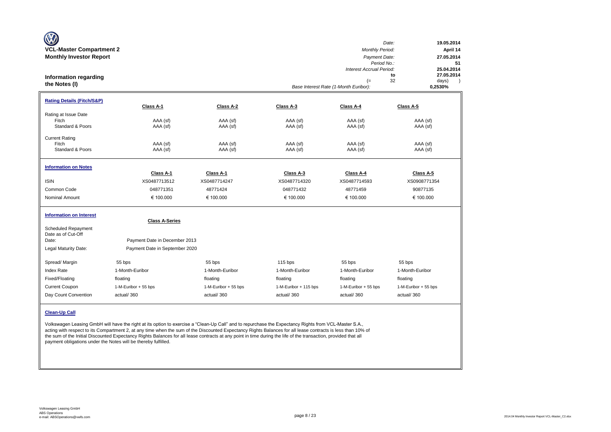| <b>VCL-Master Compartment 2</b><br><b>Monthly Investor Report</b> |                                |                      |                       | Monthly Period:<br>Payment Date:<br>Period No.:<br>Interest Accrual Period: | Date:<br>19.05.2014<br>April 14<br>27.05.2014<br>51<br>25.04.2014 |
|-------------------------------------------------------------------|--------------------------------|----------------------|-----------------------|-----------------------------------------------------------------------------|-------------------------------------------------------------------|
| Information regarding<br>the Notes (I)                            |                                |                      |                       | (=<br>Base Interest Rate (1-Month Euribor):                                 | 27.05.2014<br>to<br>32<br>days)<br>$\lambda$<br>0,2530%           |
| <b>Rating Details (Fitch/S&amp;P)</b><br>Rating at Issue Date     | Class A-1                      | Class A-2            | Class A-3             | Class A-4                                                                   | Class A-5                                                         |
| Fitch<br>Standard & Poors                                         | AAA (sf)<br>AAA (sf)           | AAA (sf)<br>AAA (sf) | AAA (sf)<br>AAA (sf)  | AAA (sf)<br>AAA (sf)                                                        | AAA (sf)<br>AAA (sf)                                              |
| <b>Current Rating</b><br>Fitch<br>Standard & Poors                | AAA (sf)<br>AAA (sf)           | AAA (sf)<br>AAA (sf) | AAA (sf)<br>AAA (sf)  | AAA (sf)<br>AAA (sf)                                                        | AAA (sf)<br>AAA (sf)                                              |
| <b>Information on Notes</b>                                       | Class A-1                      | Class A-1            | Class A-3             | Class A-4                                                                   | Class A-5                                                         |
| <b>ISIN</b>                                                       | XS0487713512                   | XS0487714247         | XS0487714320          | XS0487714593                                                                | XS0908771354                                                      |
| Common Code                                                       | 048771351                      | 48771424             | 048771432             | 48771459                                                                    | 90877135                                                          |
| <b>Nominal Amount</b>                                             | € 100.000                      | € 100.000            | € 100.000             | € 100.000                                                                   | € 100.000                                                         |
| <b>Information on Interest</b><br><b>Scheduled Repayment</b>      | <b>Class A-Series</b>          |                      |                       |                                                                             |                                                                   |
| Date as of Cut-Off<br>Date:                                       | Payment Date in December 2013  |                      |                       |                                                                             |                                                                   |
| Legal Maturity Date:                                              | Payment Date in September 2020 |                      |                       |                                                                             |                                                                   |
| Spread/Margin                                                     | 55 bps                         | 55 bps               | 115 bps               | 55 bps                                                                      | 55 bps                                                            |
| <b>Index Rate</b>                                                 | 1-Month-Euribor                | 1-Month-Euribor      | 1-Month-Euribor       | 1-Month-Euribor                                                             | 1-Month-Euribor                                                   |
| Fixed/Floating                                                    | floating                       | floating             | floating              | floating                                                                    | floating                                                          |
| <b>Current Coupon</b>                                             | 1-M-Euribor + 55 bps           | 1-M-Euribor + 55 bps | 1-M-Euribor + 115 bps | 1-M-Euribor + 55 bps                                                        | 1-M-Euribor + 55 bps                                              |
| Day Count Convention                                              | actual/360                     | actual/360           | actual/360            | actual/360                                                                  | actual/360                                                        |
| <b>Clean-Up Call</b>                                              |                                |                      |                       |                                                                             |                                                                   |

Volkswagen Leasing GmbH will have the right at its option to exercise a "Clean-Up Call" and to repurchase the Expectancy Rights from VCL-Master S.A., acting with respect to its Compartment 2, at any time when the sum of the Discounted Expectancy Rights Balances for all lease contracts is less than 10% of the sum of the Initial Discounted Expectancy Rights Balances for all lease contracts at any point in time during the life of the transaction, provided that all payment obligations under the Notes will be thereby fulfilled.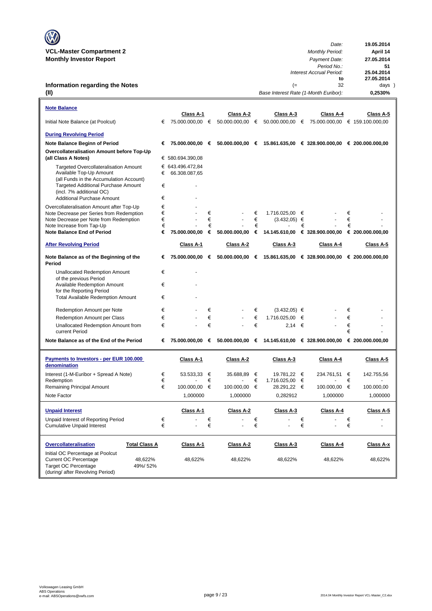| <b>V</b>                        |                        |            |
|---------------------------------|------------------------|------------|
|                                 | Date:                  | 19.05.2014 |
| <b>VCL-Master Compartment 2</b> | <b>Monthly Period:</b> | April 14   |
| <b>Monthly Investor Report</b>  | Payment Date:          | 27.05.2014 |

### **Information regarding the Notes (II)**

| <b>Note Balance</b>                                                         |        |                              |        |                              |        |                              |   |                                                                                         |        |                  |
|-----------------------------------------------------------------------------|--------|------------------------------|--------|------------------------------|--------|------------------------------|---|-----------------------------------------------------------------------------------------|--------|------------------|
| Initial Note Balance (at Poolcut)                                           | €      | Class A-1<br>75.000.000,00 € |        | Class A-2<br>50.000.000,00 € |        | Class A-3<br>50.000.000,00 € |   | Class A-4<br>75.000.000,00 € 159.100.000,00                                             |        | Class A-5        |
|                                                                             |        |                              |        |                              |        |                              |   |                                                                                         |        |                  |
| <b>During Revolving Period</b>                                              |        |                              |        |                              |        |                              |   |                                                                                         |        |                  |
| Note Balance Beginn of Period                                               | €      | 75.000.000,00 €              |        |                              |        |                              |   | $50.000.000,00$ € 15.861.635,00 € 328.900.000,00 € 200.000.000,00                       |        |                  |
| Overcollateralisation Amount before Top-Up<br>(all Class A Notes)           |        | € 580.694.390,08             |        |                              |        |                              |   |                                                                                         |        |                  |
| <b>Targeted Overcollateralisation Amount</b>                                |        | € 643.496.472,84             |        |                              |        |                              |   |                                                                                         |        |                  |
| Available Top-Up Amount<br>(all Funds in the Accumulation Account)          | €      | 66.308.087,65                |        |                              |        |                              |   |                                                                                         |        |                  |
| <b>Targeted Additional Purchase Amount</b>                                  | €      |                              |        |                              |        |                              |   |                                                                                         |        |                  |
| (incl. 7% additional OC)<br><b>Additional Purchase Amount</b>               | €      |                              |        |                              |        |                              |   |                                                                                         |        |                  |
| Overcollateralisation Amount after Top-Up                                   | €      |                              |        |                              |        |                              |   |                                                                                         |        |                  |
| Note Decrease per Series from Redemption                                    | €      |                              | €      |                              | €      | 1.716.025,00 €               |   |                                                                                         | €      |                  |
| Note Decrease per Note from Redemption                                      | €      | $\overline{a}$               | €      |                              | €      | $(3.432,05) \in$             |   |                                                                                         | €      |                  |
| Note Increase from Tap-Up<br><b>Note Balance End of Period</b>              | €<br>€ | 75.000.000,00                | €<br>€ | 50.000.000,00                | €<br>€ | 14.145.610,00                | € | € 328.900.000,00                                                                        | €      | € 200.000.000,00 |
|                                                                             |        |                              |        |                              |        |                              |   |                                                                                         |        |                  |
| <b>After Revolving Period</b>                                               |        | Class A-1                    |        | Class A-2                    |        | Class A-3                    |   | Class A-4                                                                               |        | Class A-5        |
| Note Balance as of the Beginning of the<br>Period                           | €      | 75.000.000,00                | €      | 50.000.000,00                | €      |                              |   | 15.861.635,00 € 328.900.000,00 € 200.000.000,00                                         |        |                  |
| <b>Unallocated Redemption Amount</b>                                        | €      |                              |        |                              |        |                              |   |                                                                                         |        |                  |
| of the previous Period<br><b>Available Redemption Amount</b>                | €      |                              |        |                              |        |                              |   |                                                                                         |        |                  |
| for the Reporting Period                                                    |        |                              |        |                              |        |                              |   |                                                                                         |        |                  |
| <b>Total Available Redemption Amount</b>                                    | €      |                              |        |                              |        |                              |   |                                                                                         |        |                  |
| Redemption Amount per Note                                                  | €      |                              | €      |                              | €      | $(3.432,05) \in$             |   |                                                                                         | €      |                  |
| Redemption Amount per Class                                                 | €      |                              | €      |                              | €      | 1.716.025,00                 | € |                                                                                         | €      |                  |
| Unallocated Redemption Amount from<br>current Period                        | €      |                              | €      |                              | €      | 2.14                         | € |                                                                                         | €<br>€ |                  |
| Note Balance as of the End of the Period                                    | €      |                              |        |                              |        |                              |   | 75.000.000,00   € 50.000.000,00   € 14.145.610,00   € 328.900.000,00   € 200.000.000,00 |        |                  |
|                                                                             |        |                              |        |                              |        |                              |   |                                                                                         |        |                  |
| Payments to Investors - per EUR 100.000<br>denomination                     |        | Class A-1                    |        | Class A-2                    |        | Class A-3                    |   | Class A-4                                                                               |        | Class A-5        |
| Interest (1-M-Euribor + Spread A Note)                                      | €      | $53.533.33$ €                |        | 35.688,89                    | €      | 19.781,22 €                  |   | 234.761,51                                                                              | €      | 142.755,56       |
| Redemption                                                                  | €<br>€ |                              | €<br>€ |                              | €<br>€ | 1.716.025,00 €               |   |                                                                                         | €      |                  |
| Remaining Principal Amount                                                  |        | 100.000,00                   |        | 100.000,00                   |        | 28.291,22 €                  |   | 100.000,00 €                                                                            |        | 100.000,00       |
| Note Factor                                                                 |        | 1,000000                     |        | 1,000000                     |        | 0,282912                     |   | 1,000000                                                                                |        | 1,000000         |
| <b>Unpaid Interest</b>                                                      |        | Class A-1                    |        | Class A-2                    |        | Class A-3                    |   | Class A-4                                                                               |        | Class A-5        |
| Unpaid Interest of Reporting Period                                         | €      |                              | €      |                              | €      |                              | € |                                                                                         | €      |                  |
| <b>Cumulative Unpaid Interest</b>                                           | €      |                              | €      |                              | €      |                              | € |                                                                                         | €      |                  |
| <b>Total Class A</b><br><b>Overcollateralisation</b>                        |        | Class A-1                    |        | Class A-2                    |        | Class A-3                    |   | Class A-4                                                                               |        | Class A-x        |
| Initial OC Percentage at Poolcut<br><b>Current OC Percentage</b><br>48,622% |        | 48,622%                      |        | 48,622%                      |        | 48,622%                      |   | 48,622%                                                                                 |        | 48,622%          |
| <b>Target OC Percentage</b><br>49%/52%<br>(during/ after Revolving Period)  |        |                              |        |                              |        |                              |   |                                                                                         |        |                  |

*to*: 27.05.2014<br> **b**: 51<br> **cod:** 25.04.2014<br> **to** 27.05.2014<br>
32 days

*Period No.:* **51**

(= 32 days)<br>Rate (1-Month Euribor): **0,2530%** 

*Interest Accrual Period:*<br>**20.04.2014** 

*Base Interest Rate (1-Month Euribor):* **0,2530%**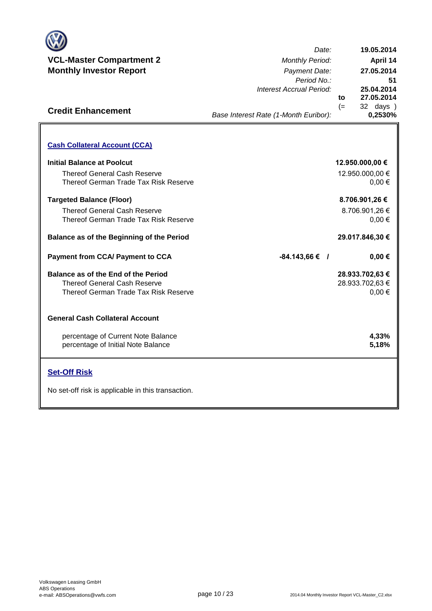

**Credit Enhancement**

*Date: Period No.: Interest Accrual Period:* **to** (= 32 days ) **27.05.2014 51 19.05.2014 0,2530% 27.05.2014 April 14 25.04.2014**

*Base Interest Rate (1-Month Euribor):*

### **Cash Collateral Account (CCA) Initial Balance at Poolcut** Thereof General Cash Reserve Thereof German Trade Tax Risk Reserve **Targeted Balance (Floor)** Thereof General Cash Reserve Thereof German Trade Tax Risk Reserve **Balance as of the Beginning of the Period Payment from CCA/ Payment to CCA / Balance as of the End of the Period** Thereof General Cash Reserve Thereof German Trade Tax Risk Reserve **General Cash Collateral Account**  percentage of Current Note Balance percentage of Initial Note Balance **Set-Off Risk 8.706.901,26 € 12.950.000,00 €** 0,00 € 12.950.000,00 € **29.017.846,30 €** No set-off risk is applicable in this transaction. 8.706.901,26 € 28.933.702,63 € 0,00 €  $0.00 €$ **4,33% 5,18% -84.143,66 € 28.933.702,63 € 0,00 €**

**. . . .** Trigger Level 1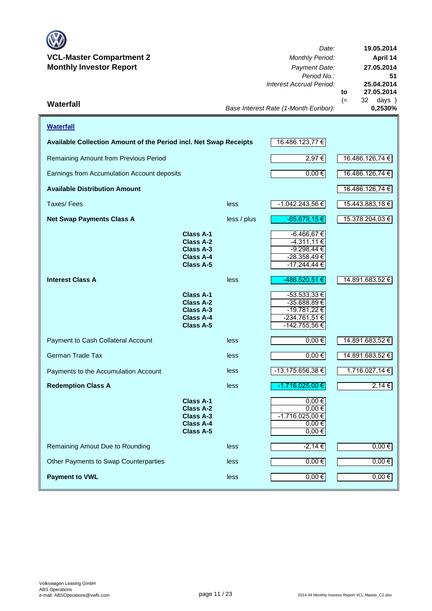

*Date: Period No.: Interest Accrual Period:* **to**  $(= 32 \text{ days})$ <br> $0.2530\%$ *Base Interest Rate (1-Month Euribor):* **Waterfall 0,2530% 27.05.2014 19.05.2014 April 14 27.05.2014 51 25.04.2014**

| <b>Waterfall</b>                                                  |                                                                                    |                 |                                                                                   |                 |
|-------------------------------------------------------------------|------------------------------------------------------------------------------------|-----------------|-----------------------------------------------------------------------------------|-----------------|
| Available Collection Amount of the Period incl. Net Swap Receipts |                                                                                    | 16.486.123,77 € |                                                                                   |                 |
| Remaining Amount from Previous Period                             |                                                                                    | 2,97 €          | 16.486.126,74 €                                                                   |                 |
| Earnings from Accumulation Account deposits                       |                                                                                    |                 | $0,00 \in$                                                                        | 16.486.126,74 € |
| <b>Available Distribution Amount</b>                              |                                                                                    |                 |                                                                                   | 16.486.126,74 € |
| Taxes/Fees                                                        |                                                                                    | less            | $-1.042.243,56 \in$                                                               | 15.443.883,18 € |
| <b>Net Swap Payments Class A</b>                                  |                                                                                    | less / plus     | $-65.679,15€$                                                                     | 15.378.204,03 € |
|                                                                   | Class A-1<br>Class A-2<br>Class A-3<br>Class A-4<br><b>Class A-5</b>               |                 | $-6.466,67€$<br>-4.311,11 €<br>$-9.298,44$ €<br>$-28.358,49 \in$<br>-17.244,44 €  |                 |
| <b>Interest Class A</b>                                           |                                                                                    | less            | -486.520,51 €                                                                     | 14.891.683,52 € |
|                                                                   | Class A-1<br>Class A-2<br>Class A-3<br><b>Class A-4</b><br>Class A-5               |                 | $-53.533,33 \in$<br>-35.688,89 €<br>-19.781,22 €<br>-234.761,51 €<br>-142.755,56€ |                 |
| Payment to Cash Collateral Account                                |                                                                                    | less            | $0,00$ €                                                                          | 14.891.683,52 € |
| German Trade Tax                                                  |                                                                                    | less            | $0,00 \in$                                                                        | 14.891.683,52 € |
| Payments to the Accumulation Account                              |                                                                                    | less            | $-13.175.656,38 \in$                                                              | 1.716.027,14 €  |
| <b>Redemption Class A</b>                                         |                                                                                    | less            | -1.716.025,00 €                                                                   | 2,14 €          |
|                                                                   | <b>Class A-1</b><br><b>Class A-2</b><br>Class A-3<br><b>Class A-4</b><br>Class A-5 |                 | $0,00 \in$<br>$0,00 \in$<br>$-1.716.025,00$ €<br>$0.00 \in$<br>$0,00 \in$         |                 |
| Remaining Amout Due to Rounding                                   |                                                                                    | less            | -2,14 €                                                                           | $0,00 \in$      |
| Other Payments to Swap Counterparties                             |                                                                                    | less            | $0,00 \in$                                                                        | $0,00 \in$      |
| <b>Payment to VWL</b>                                             |                                                                                    | less            | $0,00 \in$                                                                        | $0,00 \in$      |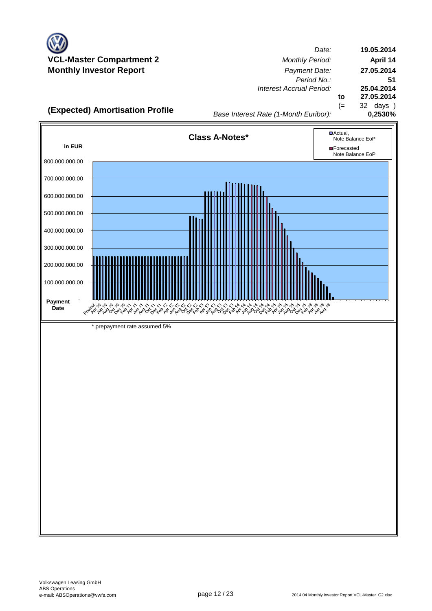

*Date: Period No.: Interest Accrual Period:* **to** (= 32 days ) **19.05.2014 April 14 27.05.2014 51 25.04.2014 27.05.2014**

**(Expected) Amortisation Profile**<br>0,2530% *Base Interest Rate (1-Month Euribor)* 

*Base Interest Rate (1-Month Euribor):*

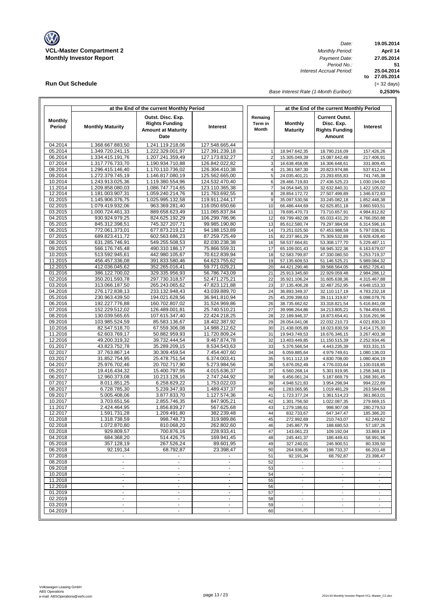

**Run Out Schedule**

*Date: Period No.: Interest Accrual Period:*

**19.05.2014 April 14 to 27.05.2014 0,2530% 51 27.05.2014 25.04.2014** (= 32 days)

*Base Interest Rate (1-Month Euribor):*

|                          | at the End of the current Monthly Period |                                                                                 |                                  |                             | at the End of the current Monthly Period             |                                                                        |                                  |  |  |
|--------------------------|------------------------------------------|---------------------------------------------------------------------------------|----------------------------------|-----------------------------|------------------------------------------------------|------------------------------------------------------------------------|----------------------------------|--|--|
| <b>Monthly</b><br>Period | <b>Monthly Maturity</b>                  | Outst. Disc. Exp.<br><b>Rights Funding</b><br><b>Amount at Maturity</b><br>Date | Interest                         | Remaing<br>Term in<br>Month | <b>Monthly</b><br><b>Maturity</b>                    | <b>Current Outst.</b><br>Disc. Exp.<br><b>Rights Funding</b><br>Amount | Interest                         |  |  |
| 04.2014                  | 1.368.667.883,50                         | 1.241.119.218.06                                                                | 127.548.665,44                   |                             |                                                      |                                                                        |                                  |  |  |
| 05.2014                  | 1.349.720.241,15                         | 1.222.329.001,97                                                                | 127.391.239,18                   | $\mathbf{1}$                | 18.947.642,35                                        | 18.790.216,09                                                          | 157.426,26                       |  |  |
| 06.2014                  | 1.334.415.191,76                         | 1.207.241.359,49                                                                | 127.173.832,27                   | $\overline{c}$              | 15.305.049,39                                        | 15.087.642,48                                                          | 217.406,91                       |  |  |
| 07.2014<br>08.2014       | 1.317.776.733,70<br>1.296.415.146,40     | 1.190.934.710,88<br>1.170.110.736,02                                            | 126.842.022,82<br>126.304.410,38 | 3<br>4                      | 16.638.458,06<br>21.361.587,30                       | 16.306.648,61<br>20.823.974,86                                         | 331.809,45<br>537.612,44         |  |  |
| 09.2014                  | 1.272.379.745,19                         | 1.146.817.080,19                                                                | 125.562.665,00                   | 5                           | 24.035.401,21                                        | 23.293.655,83                                                          | 741.745,38                       |  |  |
| 10.2014                  | 1.243.913.025,36                         | 1.119.380.554,96                                                                | 124.532.470,40                   | 6                           | 28.466.719,83                                        | 27.436.525,23                                                          | 1.030.194,60                     |  |  |
| 11.2014                  | 1.209.858.080,03                         | 1.086.747.714,65                                                                | 123.110.365,38                   | $\overline{7}$              | 34.054.945,33                                        | 32.632.840,31                                                          | 1.422.105,02                     |  |  |
| 12.2014                  | 1.181.003.907,31                         | 1.059.240.214,76                                                                | 121.763.692,55                   | 8                           | 28.854.172,72                                        | 27.507.499,89                                                          | 1.346.672,83                     |  |  |
| 01.2015                  | 1.145.906.376,75                         | 1.025.995.132,58                                                                | 119.911.244,17                   | $9\,$                       | 35.097.530,56                                        | 33.245.082,18                                                          | 1.852.448,38                     |  |  |
| 02.2015                  | 1.079.419.932,06                         | 963.369.281,40                                                                  | 116.050.650,66                   | 10                          | 66.486.444,69                                        | 62.625.851,18                                                          | 3.860.593,51                     |  |  |
| 03.2015<br>04.2015       | 1.000.724.461,33<br>930.924.979,25       | 889.658.623,49<br>824.625.192,29                                                | 111.065.837,84<br>106.299.786,96 | 11<br>12                    | 78.695.470,73<br>69.799.482,08                       | 73.710.657,91<br>65.033.431,20                                         | 4.984.812,82<br>4.766.050,88     |  |  |
| 05.2015                  | 845.312.398,51                           | 745.327.207,71                                                                  | 99.985.190,80                    | 13                          | 85.612.580,74                                        | 79.297.984,58                                                          | 6.314.596,16                     |  |  |
| 06.2015                  | 772.061.373,01                           | 677.873.219,12                                                                  | 94.188.153,89                    | 14                          | 73.251.025,50                                        | 67.453.988,59                                                          | 5.797.036,91                     |  |  |
| 07.2015                  | 689.823.411,72                           | 602.563.686,23                                                                  | 87.259.725,49                    | 15                          | 82.237.961,29                                        | 75.309.532,89                                                          | 6.928.428,40                     |  |  |
| 08.2015                  | 631.285.746,91                           | 549.255.508,53                                                                  | 82.030.238,38                    | 16                          | 58.537.664,81                                        | 53.308.177,70                                                          | 5.229.487,11                     |  |  |
| 09.2015                  | 566.176.745,48                           | 490.310.186,17                                                                  | 75.866.559,31                    | 17                          | 65.109.001,43                                        | 58.945.322,36                                                          | 6.163.679,07                     |  |  |
| 10.2015                  | 513.592.945,61                           | 442.980.105,67                                                                  | 70.612.839,94                    | 18                          | 52.583.799,87                                        | 47.330.080,50                                                          | 5.253.719,37                     |  |  |
| 11.2015<br>12.2015       | 456.457.336,08<br>412.036.045,62         | 391.833.580,46<br>352.265.016.41                                                | 64.623.755,62<br>59.771.029,21   | 19<br>20                    | 57.135.609,53<br>44.421.290,46                       | 51.146.525,21<br>39.568.564,05                                         | 5.989.084,32<br>4.852.726,41     |  |  |
| 01.2016                  | 386.122.700,02                           | 329.335.956,93                                                                  | 56.786.743,09                    | 21                          | 25.913.345,60                                        | 22.929.059,48                                                          | 2.984.286,12                     |  |  |
| 02.2016                  | 350.201.593,78                           | 297.730.318,57                                                                  | 52.471.275,21                    | 22                          | 35.921.106,24                                        | 31.605.638,36                                                          | 4.315.467,88                     |  |  |
| 03.2016                  | 313.066.187,50                           | 265.243.065,62                                                                  | 47.823.121,88                    | 23                          | 37.135.406,28                                        | 32.487.252,95                                                          | 4.648.153,33                     |  |  |
| 04.2016                  | 276.172.838,13                           | 233.132.948,43                                                                  | 43.039.889,70                    | 24                          | 36.893.349,37                                        | 32.110.117,19                                                          | 4.783.232,18                     |  |  |
| 05.2016                  | 230.963.439,50                           | 194.021.628,56                                                                  | 36.941.810,94                    | 25                          | 45.209.398,63                                        | 39.111.319,87                                                          | 6.098.078,76                     |  |  |
| 06.2016                  | 192.227.776,88                           | 160.702.807,02                                                                  | 31.524.969,86                    | 26                          | 38.735.662,62                                        | 33.318.821,54                                                          | 5.416.841,08                     |  |  |
| 07.2016<br>08.2016       | 152.229.512,02<br>130.039.565,65         | 126.489.001,81<br>107.615.347,40                                                | 25.740.510,21<br>22.424.218,25   | 27<br>28                    | 39.998.264,86<br>22.189.946,37                       | 34.213.805,21<br>18.873.654,41                                         | 5.784.459,65<br>3.316.291,96     |  |  |
| 09.2016                  | 103.985.524,59                           | 85.583.136,67                                                                   | 18.402.387,92                    | 29                          | 26.054.041,06                                        | 22.032.210,73                                                          | 4.021.830,33                     |  |  |
| 10.2016                  | 82.547.518,70                            | 67.559.306,08                                                                   | 14.988.212,62                    | 30                          | 21.438.005,89                                        | 18.023.830,59                                                          | 3.414.175,30                     |  |  |
| 11.2016                  | 62.603.769,17                            | 50.882.959,93                                                                   | 11.720.809,24                    | 31                          | 19.943.749,53                                        | 16.676.346,15                                                          | 3.267.403,38                     |  |  |
| 12.2016                  | 49.200.319,32                            | 39.732.444,54                                                                   | 9.467.874,78                     | 32                          | 13.403.449,85                                        | 11.150.515,39                                                          | 2.252.934,46                     |  |  |
| 01.2017                  | 43.823.752,78                            | 35.289.209,15                                                                   | 8.534.543,63                     | 33                          | 5.376.566,54                                         | 4.443.235,39                                                           | 933.331,15                       |  |  |
| 02.2017<br>03.2017       | 37.763.867,14<br>31.852.754,95           | 30.309.459,54<br>25.478.751,54                                                  | 7.454.407,60<br>6.374.003,41     | 34<br>35                    | 6.059.885,64                                         | 4.979.749,61                                                           | 1.080.136,03                     |  |  |
| 04.2017                  | 25.976.702,46                            | 20.702.717,90                                                                   | 5.273.984,56                     | 36                          | 5.911.112,19<br>5.876.052,49                         | 4.830.708,00<br>4.776.033,64                                           | 1.080.404,19<br>1.100.018,85     |  |  |
| 05.2017                  | 19.416.434,32                            | 15.400.797,95                                                                   | 4.015.636,37                     | 37                          | 6.560.268,14                                         | 5.301.919,95                                                           | 1.258.348,19                     |  |  |
| 06.2017                  | 12.960.373,08                            | 10.213.128,16                                                                   | 2.747.244,92                     | 38                          | 6.456.061,24                                         | 5.187.669,79                                                           | 1.268.391,45                     |  |  |
| 07.2017                  | 8.011.851,25                             | 6.258.829,22                                                                    | 1.753.022,03                     | 39                          | 4.948.521,83                                         | 3.954.298,94                                                           | 994.222,89                       |  |  |
| 08.2017                  | 6.728.785,30                             | 5.239.347,93                                                                    | 1.489.437,37                     | 40                          | 1.283.065,95                                         | 1.019.481,29                                                           | 263.584,66                       |  |  |
| 09.2017                  | 5.005.408,06                             | 3.877.833,70                                                                    | 1.127.574,36                     | 41                          | 1.723.377,24                                         | 1.361.514,23                                                           | 361.863,01                       |  |  |
| 10.2017<br>11.2017       | 3.703.651,56<br>2.424.464,95             | 2.855.746,35                                                                    | 847.905,21<br>567.625,68         | 42<br>43                    | 1.301.756,50                                         | 1.022.087,35<br>998.907,08                                             | 279.669,15                       |  |  |
| 12.2017                  | 1.591.731,28                             | 1.856.839,27<br>1.209.491,80                                                    | 382.239,48                       | 44                          | 1.279.186,61<br>832.733,67                           | 647.347,47                                                             | 280.279,53<br>185.386,20         |  |  |
| 01.2018                  | 1.318.738,59                             | 998.748,73                                                                      | 319.989,86                       | 45                          | 272.992,69                                           | 210.743,07                                                             | 62.249,62                        |  |  |
| 02.2018                  | 1.072.870,80                             | 810.068,20                                                                      | 262.802,60                       | 46                          | 245.867,79                                           | 188.680,53                                                             | 57.187,26                        |  |  |
| 03.2018                  | 929.809,57                               | 700.876,16                                                                      | 228.933,41                       | 47                          | 143.061,23                                           | 109.192,04                                                             | 33.869,19                        |  |  |
| 04.2018                  | 684.368,20                               | 514.426,75                                                                      | 169.941,45                       | 48                          | 245.441,37                                           | 186.449.41                                                             | 58.991.96                        |  |  |
| 05.2018                  | 357.128,19                               | 267.526,24                                                                      | 89.601,95                        | 49                          | 327.240,01                                           | 246.900,51                                                             | 80.339,50                        |  |  |
| 06.2018<br>07.2018       | 92.191,34                                | 68.792,87                                                                       | 23.398,47                        | 50                          | 264.936,85<br>92.191,34                              | 198.733,37<br>68.792,87                                                | 66.203,48<br>23.398,47           |  |  |
| 08.2018                  | $\blacksquare$<br>$\blacksquare$         | $\blacksquare$                                                                  | $\blacksquare$                   | 51<br>52                    | $\sim$                                               | $\sim$                                                                 | $\sim$                           |  |  |
| 09.2018                  |                                          |                                                                                 |                                  | 53                          |                                                      |                                                                        |                                  |  |  |
| 10.2018                  | ä,                                       | $\omega$                                                                        | $\blacksquare$                   | 54                          | $\overline{\phantom{a}}$                             | $\overline{\phantom{a}}$                                               | $\overline{\phantom{a}}$         |  |  |
| 11.2018                  | $\blacksquare$                           | $\blacksquare$                                                                  | $\blacksquare$                   | 55                          | $\blacksquare$                                       | $\blacksquare$                                                         | $\sim$                           |  |  |
| 12.2018                  | $\blacksquare$                           | ٠                                                                               | ٠                                | 56                          | $\overline{\phantom{a}}$                             | $\overline{\phantom{a}}$                                               | $\overline{\phantom{a}}$         |  |  |
| 01.2019                  | $\blacksquare$                           | $\blacksquare$                                                                  | $\blacksquare$                   | 57                          | $\overline{\phantom{a}}$                             | $\mathcal{L}_{\mathcal{A}}$                                            | $\sim$                           |  |  |
| 02.2019                  | ä,                                       | $\omega$                                                                        |                                  | 58                          |                                                      | $\overline{\phantom{a}}$                                               |                                  |  |  |
| 03.2019<br>04.2019       | $\blacksquare$                           | $\blacksquare$                                                                  | $\blacksquare$<br>$\blacksquare$ | 59<br>60                    | $\overline{\phantom{a}}$<br>$\overline{\phantom{a}}$ | $\overline{\phantom{a}}$<br>$\blacksquare$                             | $\blacksquare$<br>$\blacksquare$ |  |  |
|                          |                                          |                                                                                 |                                  |                             |                                                      |                                                                        |                                  |  |  |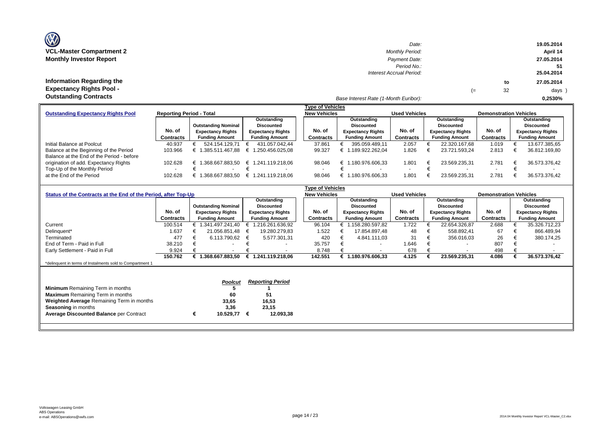| <b>OZ</b>                       |
|---------------------------------|
| <b>VCL-Master Compartment 2</b> |
| <b>Monthly Investor Report</b>  |

**Information Regarding the Expectancy Rights Pool -** 

| $\mathbf{w}$                     | Date:                    |    |    | 19.05.2014 |
|----------------------------------|--------------------------|----|----|------------|
| <b>VCL-Master Compartment 2</b>  | <b>Monthly Period:</b>   |    |    | April 14   |
| <b>Monthly Investor Report</b>   | Payment Date:            |    |    | 27.05.2014 |
|                                  | Period No.:              |    |    |            |
|                                  | Interest Accrual Period: |    |    | 25.04.2014 |
| <b>Information Regarding the</b> |                          |    | to | 27.05.2014 |
| <b>Expectancy Rights Pool -</b>  |                          | (≔ | 32 | days )     |
| Outotonding Contracto            |                          |    |    |            |

#### *Base Interest Rate (1-Month Euribor):* **Outstanding Contracts 0,2530%**

|                                           |                                 |                            |                          | <b>Type of Vehicles</b> |                          |                      |                          |                               |                          |
|-------------------------------------------|---------------------------------|----------------------------|--------------------------|-------------------------|--------------------------|----------------------|--------------------------|-------------------------------|--------------------------|
| <b>Outstanding Expectancy Rights Pool</b> | <b>Reporting Period - Total</b> |                            |                          | <b>New Vehicles</b>     |                          | <b>Used Vehicles</b> |                          | <b>Demonstration Vehicles</b> |                          |
|                                           |                                 |                            | Outstanding              |                         | Outstanding              |                      | Outstanding              |                               | Outstanding              |
|                                           |                                 | <b>Outstanding Nominal</b> | Discounted               |                         | <b>Discounted</b>        |                      | Discounted               |                               | <b>Discounted</b>        |
|                                           | No. of                          | <b>Expectancy Rights</b>   | <b>Expectancy Rights</b> | No. of                  | <b>Expectancy Rights</b> | No. of               | <b>Expectancy Rights</b> | No. of                        | <b>Expectancy Rights</b> |
|                                           | Contracts                       | <b>Funding Amount</b>      | <b>Funding Amount</b>    | Contracts               | <b>Funding Amount</b>    | Contracts            | <b>Funding Amount</b>    | Contracts                     | <b>Funding Amount</b>    |
| Initial Balance at Poolcut                | 40.937                          | 524.154.129.71             | 431.057.042.44           | 37.861                  | 395.059.489.11           | 2.057                | 22.320.167.68            | 1.019                         | 13.677.385,65            |
| Balance at the Beginning of the Period    | 103.966                         | € 1.385.511.467.88         | € 1.250.456.025.08       | 99.327                  | 1.189.922.262.04         | 1.826                | 23.721.593.24            | 2.813                         | 36.812.169,80            |
| Balance at the End of the Period - before |                                 |                            |                          |                         |                          |                      |                          |                               |                          |
| origination of add. Expectancy Rights     | 102.628                         | .368.667.883.50<br>€ 1     | € 1.241.119.218.06       | 98.046                  | .180.976.606.33<br>€     | 1.801                | 23.569.235.31            | 2.781                         | 36.573.376.42            |
| Top-Up of the Monthly Period              |                                 |                            |                          |                         |                          |                      |                          |                               |                          |
| at the End of the Period                  | 102.628                         | 1.368.667.883.50<br>╘      | € 1.241.119.218.06       | 98.046                  | 1.180.976.606.33<br>⊨    | 1.801                | 23.569.235.31            | 2.781                         | 36.573.376.42            |

|                                                                |           |   |                            |   |                          | Type of Vehicles    |                          |                      |                          |                               |                          |
|----------------------------------------------------------------|-----------|---|----------------------------|---|--------------------------|---------------------|--------------------------|----------------------|--------------------------|-------------------------------|--------------------------|
| Status of the Contracts at the End of the Period, after Top-Up |           |   |                            |   |                          | <b>New Vehicles</b> |                          | <b>Used Vehicles</b> |                          | <b>Demonstration Vehicles</b> |                          |
|                                                                |           |   |                            |   | Outstanding              |                     | Outstanding              |                      | Outstanding              |                               | Outstanding              |
|                                                                |           |   | <b>Outstanding Nominal</b> |   | <b>Discounted</b>        |                     | <b>Discounted</b>        |                      | <b>Discounted</b>        |                               | <b>Discounted</b>        |
|                                                                | No. of    |   | <b>Expectancy Rights</b>   |   | <b>Expectancy Rights</b> | No. of              | <b>Expectancy Rights</b> | No. of               | <b>Expectancy Rights</b> | No. of                        | <b>Expectancy Rights</b> |
|                                                                | Contracts |   | <b>Funding Amount</b>      |   | <b>Funding Amount</b>    | Contracts           | <b>Funding Amount</b>    | <b>Contracts</b>     | <b>Funding Amount</b>    | Contracts                     | <b>Funding Amount</b>    |
| Current                                                        | 100.514   |   | € 1.341.497.241,40         | € | 1.216.261.636,92         | 96.104              | € 1.158.280.597,82       | 1.722                | 22.654.326,87            | 2.688                         | 35.326.712,23            |
| Delinquent*                                                    | 1.637     |   | 21.056.851.48              | € | 19.280.279,83            | 1.522               | 17.854.897.48            | 48                   | 558.892,41               | 67                            | 866.489,94               |
| Terminated                                                     | 477       |   | 6.113.790,62               | € | 5.577.301,31             | 420                 | 4.841.111.03             | 31                   | 356.016,03               | 26                            | 380.174,25               |
| End of Term - Paid in Full                                     | 38.210    |   |                            |   |                          | 35.757              | $\overline{\phantom{a}}$ | 1.646                | $\overline{\phantom{a}}$ | 807                           |                          |
| Early Settlement - Paid in Full                                | 9.924     |   |                            |   |                          | 8.748               | $\overline{\phantom{a}}$ | 678                  | $\overline{\phantom{a}}$ | 498                           |                          |
|                                                                | 150.762   |   | € 1.368.667.883,50         |   | € 1.241.119.218,06       | 142.551             | 1.180.976.606,33         | 4.125                | 23.569.235,31            | 4.086                         | 36.573.376,42            |
| *delinquent in terms of Instalments sold to Compartment 1      |           |   |                            |   |                          |                     |                          |                      |                          |                               |                          |
|                                                                |           |   |                            |   |                          |                     |                          |                      |                          |                               |                          |
|                                                                |           |   |                            |   |                          |                     |                          |                      |                          |                               |                          |
|                                                                |           |   | <b>Poolcut</b>             |   | <b>Reporting Period</b>  |                     |                          |                      |                          |                               |                          |
| <b>Minimum</b> Remaining Term in months                        |           |   |                            |   |                          |                     |                          |                      |                          |                               |                          |
| <b>Maximum</b> Remaining Term in months                        |           |   | 60                         |   | 51                       |                     |                          |                      |                          |                               |                          |
| <b>Weighted Average Remaining Term in months</b>               |           |   | 33,65                      |   | 16,53                    |                     |                          |                      |                          |                               |                          |
| Seasoning in months                                            |           |   | 3,36                       |   | 23,15                    |                     |                          |                      |                          |                               |                          |
| <b>Average Discounted Balance per Contract</b>                 |           | € | 10.529,77                  | € | 12.093,38                |                     |                          |                      |                          |                               |                          |
|                                                                |           |   |                            |   |                          |                     |                          |                      |                          |                               |                          |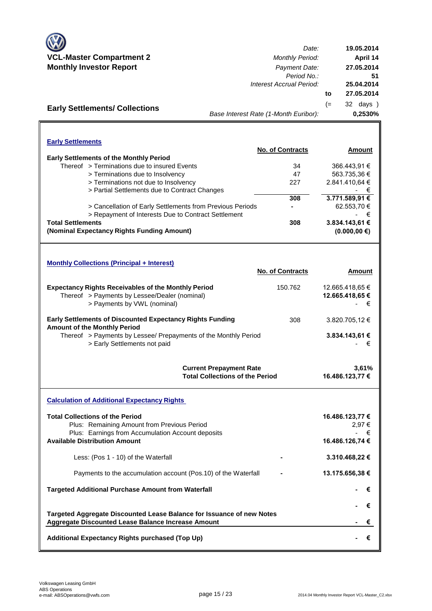

**Early Settlements/ Collections**

*Date:* **VCL-Master Compartment 2** *Monthly Period:* **Monthly Investor Report** *Payment Date: Period No.: Interest Accrual Period:* **to** (= 32 days ) *Base Interest Rate (1-Month Euribor):* **0,2530% 19.05.2014 April 14 27.05.2014 27.05.2014 51 25.04.2014**

| <b>Early Settlements</b>                       |                                                           |                         |                 |
|------------------------------------------------|-----------------------------------------------------------|-------------------------|-----------------|
|                                                |                                                           | <b>No. of Contracts</b> | Amount          |
| <b>Early Settlements of the Monthly Period</b> |                                                           |                         |                 |
| Thereof > Terminations due to insured Events   |                                                           | 34                      | 366.443.91 €    |
| > Terminations due to Insolvency               |                                                           | 47                      | 563.735,36 €    |
| > Terminations not due to Insolvency           |                                                           | 227                     | 2.841.410.64 €  |
|                                                | > Partial Settlements due to Contract Changes             |                         | - €             |
|                                                |                                                           | 308                     | 3.771.589,91 €  |
|                                                | > Cancellation of Early Settlements from Previous Periods |                         | 62.553,70 €     |
|                                                | > Repayment of Interests Due to Contract Settlement       |                         | €               |
| <b>Total Settlements</b>                       |                                                           | 308                     | 3.834.143,61 €  |
| (Nominal Expectancy Rights Funding Amount)     |                                                           |                         | $(0.000.00)$ €) |

| <b>Monthly Collections (Principal + Interest)</b>                                                                                          |                         |                                              |
|--------------------------------------------------------------------------------------------------------------------------------------------|-------------------------|----------------------------------------------|
|                                                                                                                                            | <b>No. of Contracts</b> | <b>Amount</b>                                |
| <b>Expectancy Rights Receivables of the Monthly Period</b><br>Thereof > Payments by Lessee/Dealer (nominal)<br>> Payments by VWL (nominal) | 150.762                 | 12.665.418.65 €<br>12.665.418.65 €<br>€<br>٠ |
| <b>Early Settlements of Discounted Expectancy Rights Funding</b><br><b>Amount of the Monthly Period</b>                                    | 308                     | 3.820.705.12 €                               |
| Thereof > Payments by Lessee/ Prepayments of the Monthly Period<br>> Early Settlements not paid                                            |                         | 3.834.143,61 €<br>€                          |
| <b>Current Prepayment Rate</b><br><b>Total Collections of the Period</b>                                                                   |                         | 3.61%<br>16.486.123,77 €                     |

**Calculation of Additional Expectancy Rights Total Collections of the Period** Plus: Remaining Amount from Previous Period Plus: Earnings from Accumulation Account deposits **Available Distribution Amount** Less: (Pos 1 - 10) of the Waterfall Payments to the accumulation account (Pos.10) of the Waterfall **Targeted Additional Purchase Amount from Waterfall 16.486.123,77 €** - € 2,97 € **Targeted Aggregate Discounted Lease Balance for Issuance of new Notes - €**<br>  *- €* Aggregate Discounted Lease Balance Increase Amount + <del>€</del>  **16.486.126,74 € - 3.310.468,22 € - 13.175.656,38 € - €** + <del>€</del>

```
Additional Expectancy Rights purchased (Top Up)
```
 **- €** + <del>€</del>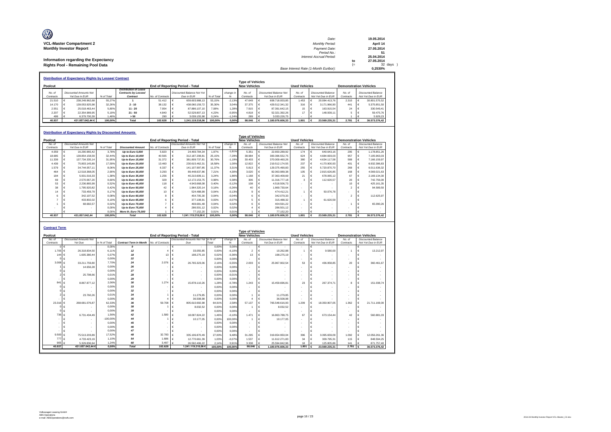| O                                    | Date:                                 |    | 19.05.2014 |
|--------------------------------------|---------------------------------------|----|------------|
| <b>VCL-Master Compartment 2</b>      | <b>Monthly Period:</b>                |    | April 14   |
| <b>Monthly Investor Report</b>       | Payment Date:                         |    | 27.05.2014 |
|                                      | Period No.:                           |    |            |
|                                      | Interest Accrual Period:              |    | 25.04.2014 |
| Information regarding the Expectancy |                                       | to | 27.05.2014 |
| Rights Pool - Remaining Pool Data    |                                       | (≕ | 32 days    |
|                                      | Base Interest Rate (1-Month Euribor): |    | 0.2530%    |

|           | <b>Distribution of Expectancy Rights by Lessee/ Contract</b> |            |                       |                  |                                 |            |           |                                                |                        |                      |                    |           |                               |
|-----------|--------------------------------------------------------------|------------|-----------------------|------------------|---------------------------------|------------|-----------|------------------------------------------------|------------------------|----------------------|--------------------|-----------|-------------------------------|
| Poolcut   |                                                              |            |                       |                  | End of Reporting Period - Total |            |           | <b>Type of Vehicles</b><br><b>New Vehicles</b> |                        | <b>Used Vehicles</b> |                    |           | <b>Demonstration Vehicles</b> |
|           |                                                              |            | Distribution of Lease |                  |                                 |            |           |                                                |                        |                      |                    |           |                               |
| No. of    | Discounted Amounts Not                                       |            | Contracts by Lessee/  |                  | Discounted Balance Not Yet      |            | change in | No. of                                         | Discounted Balance Not | No of                | Discounted Balance | No of     | Discounted Balance            |
| Contracts | Yet Due in FUR                                               | % of Total | Contract              | No. of Contracts | Due in FUR                      | % of Total |           | Contracts                                      | Yet Due in FUR         | Contracts            | Not Yet Due in EUR | Contracts | Not Yet Due in EUR            |
| 21.510    | 238.249.962.68                                               | 55.27%     |                       | 51.412           | 659,603,988.13                  | 53.15%     | $-2.13%$  | 47.649                                         | 608.718.003.85         | 1.453                | 20.084.413.76      | 2.310     | 30.801.570.52                 |
| 14.170    | 139.053.925.98                                               | 32.26%     | $2 - 10$              | 38.132           | 438.060.159.72                  | 35.30%     | 3.04%     | 37.375                                         | 429.512.341.32         | 316                  | 3.171.966.90       | 441       | 5.375.851.50                  |
| 2.551     | 25.018.463.44                                                | 5.80%      | $11 - 20$             | 7.954            | 87.886.107.10                   | 7.08%      | 1.28%     | 7.915                                          | 87.391.642.15          | 15                   | 163,915.54         | 24        | 330.549.41                    |
| 2.207     | 22.354.989.95                                                | 5.19%      | $21 - 50$             | 4840             | 52.529.807.13                   | 4.23%      | $-0.95%$  | 4.818                                          | 52.321.392.26          | 17                   | 148.939.11         |           | 59,475.76                     |
| 499       | 6.379.700.39                                                 | 1.48%      | > 50                  | 290              | 3.039.155.98                    | 0.24%      | $-1.24%$  | 289                                            | 3.033.226.75           |                      |                    |           | 5.929.23                      |
| 40.937    | 431.057.042.44 €                                             | 100.00%    | Total                 | 102.628          | 1.241.119.218.06                | 100.00%    | 0.00%     | 98.046                                         | 1.180.976.606.33       | 1.801                | 23,569,235,31      | 2.781     | 36,573,376,42                 |

#### **Distribution of Expectancy Rights by Discounted Amounts**

|           |                               |            |                          |                  |                                        |            |           | Tvpe of Vehicles    |                               |                      |                           |                               |                           |
|-----------|-------------------------------|------------|--------------------------|------------------|----------------------------------------|------------|-----------|---------------------|-------------------------------|----------------------|---------------------------|-------------------------------|---------------------------|
| Poolcut   |                               |            |                          |                  | <b>End of Reporting Period - Total</b> |            |           | <b>New Vehicles</b> |                               | <b>Used Vehicles</b> |                           | <b>Demonstration Vehicles</b> |                           |
| No. of    | <b>Discounted Amounts Not</b> |            |                          |                  | <b>Discounted Amounts Not Yet</b>      |            | change in | No. of              | <b>Discounted Balance Not</b> | No. of               | <b>Discounted Balance</b> | No. of                        | <b>Discounted Balance</b> |
| Contracts | Yet Due in EUR                | % of Total | <b>Discounted Amount</b> | No. of Contracts | Due in EUR                             | % of Total |           | Contracts           | Yet Due in EUR                | Contracts            | Not Yet Due in EUR        | Contracts                     | Not Yet Due in EUR        |
| 4.059     | 16,290,965.42                 | 3.78%      | Up to Euro 5,000         | 5.820            | 24.469.784.34                          | 1.97%      | $-1.81%$  | 5.351               | 22.650.289.92                 | 174                  | 640,643.16                | 295                           | 1.178.851.26              |
| 18.685    | 139.854.158.59                | 32.44%     | Up to Euro 10,000        | 40.565           | 312.187.208.81                         | 25.15%     | $-7.29%$  | 38.984              | 300.396.552.75                | 624                  | 4.684.693.03              | 957                           | 7.105.963.03              |
| 11.339    | 137.734.335.14                | 31.95%     | Up to Euro 15,000        | 31,372           | 381.809.737.81                         | 30.76%     | $-1.19%$  | 30.403              | 370.009.460.26                | 380                  | 4.634.117.58              | 589                           | 7.166.159.97              |
| 4.439     | 75,803,145.89                 | 17.59%     | Up to Euro 20,000        | 13,460           | 230.615.462.31                         | 18.58%     | 1.00%     | 12.822              | 219.512.174.55                | 237                  | 4.170.900.93              | 401                           | 6.932.386.83              |
| 1.579     | 34.744.057.11                 | 8.06%      | Up to Euro 25,000        | 6.337            | 141.107.997.85                         | 11.37%     | 3.31%     | 5.813               | 129.375.490.83                | 255                  | 5,720,870,70              | 269                           | 6.011.636.32              |
| 464       | 12.518.368.05                 | 2.90%      | Up to Euro 30,000        | 3.293            | 89.448.637.86                          | 7.21%      | 4.30%     | 3.020               | 82.063.989.38                 | 105                  | 2.815.626.85              | 168                           | 4.569.021.63              |
| 184       | 5.931.016.33                  | 1.38%      | Up to Euro 35,000        | 1.256            | 40.210.609.11                          | 3.24%      | 1.86%     | 1.168               | 37.363.409.69                 | 21                   | 678.065.12                | 67                            | 2.169.134.30              |
| 69        | 2.570.067.20                  | 0.60%      | Up to Euro 40,000        | 329              | 12.172.153.75                          | 0.98%      | 0.38%     | 306                 | 11.316.777.18                 |                      | 112.620.57                | 20                            | 742.756.00                |
| 53        | 2.236.865.99                  | 0.52%      | Up to Euro 45,000        | 118              | 4.943.668.08                           | 0.40%      | $-0.12%$  | 108                 | 4.518.506.73                  |                      |                           |                               | 425.161.35                |
| 38        | 1.795.920.82                  | 0.42%      | Up to Euro 50,000        | 42               | 1.964.320,14                           | 0.16%      | $-0.26%$  | 40                  | 1.869.730.64                  |                      |                           |                               | 94,589.50                 |
|           | 733.459.79                    | 0.17%      | Up to Euro 55,000        | 10               | 524.488.99                             | 0.04%      | $-0.13%$  |                     | 474.412.21                    |                      | 50.076.78                 |                               |                           |
|           | 342.197.52                    | 0.08%      | Up to Euro 60,000        |                  | 454,705.30                             | 0.04%      | $-0.04%$  |                     | 342.079.33                    |                      |                           |                               | 112.625.97                |
|           | 433.802.02                    | 0.10%      | Up to Euro 65,000        |                  | 377.108.91                             | 0.03%      | $-0.07%$  |                     | 315,488.32                    |                      | 61.620.59                 |                               |                           |
|           | 68.682,57                     | 0.02%      | Up to Euro 70,000        |                  | 469.681,48                             | 0.04%      | 0.02%     |                     | 404.591.22                    |                      |                           |                               | 65.090,26                 |
|           |                               | 0.00%      | Up to Euro 75,000        |                  | 286.501,12                             | 0.02%      | 0.02%     |                     | 286.501,12                    |                      |                           |                               |                           |
|           |                               | 0.00%      | More th. Euro 75,000     |                  | 77.152.20                              | 0.01%      | 0.01%     |                     | 77.152.20                     |                      |                           |                               |                           |
| 40.937    | 431.057.042.44                | 100.00%    | <b>Total</b>             | 102.628          | 1.241.119.218,06 €                     | 100,00%    | 0,00%     | 98,046              | 1,180,976,606,33              | 1.801                | 23.569.235.31             | 2.781                         | 36,573,376.42             |

| <b>Contract Term</b> |                                          |                |                               |                  |                                           |                |                |                          |   |                                                 |                          |                                          |                               |   |                                                 |
|----------------------|------------------------------------------|----------------|-------------------------------|------------------|-------------------------------------------|----------------|----------------|--------------------------|---|-------------------------------------------------|--------------------------|------------------------------------------|-------------------------------|---|-------------------------------------------------|
|                      |                                          |                |                               |                  |                                           |                |                | <b>Type of Vehicles</b>  |   |                                                 |                          |                                          |                               |   |                                                 |
| Poolcut              |                                          |                |                               |                  | End of Reporting Period - Total           |                |                | <b>New Vehicles</b>      |   |                                                 | <b>Used Vehicles</b>     |                                          | <b>Demonstration Vehicles</b> |   |                                                 |
| No. of<br>Contracts  | <b>Discounted Amounts Not</b><br>Yet Due | in % of Total  | <b>Contract Term in Month</b> | No. of Contracts | Discounted Amounts Not Yet in % of<br>Due | Total          | change in<br>% | No. of<br>Contracts      |   | <b>Discounted Balance Not</b><br>Yet Due in EUR | No. of<br>Contracts      | Discounted Balance<br>Not Yet Due in EUR | No. of<br>Contracts           |   | <b>Discounted Balance</b><br>Not Yet Due in EUR |
|                      | $\sim$                                   | 0.00%          | $\boldsymbol{g}$              |                  | $\epsilon$<br>$\overline{\phantom{a}}$    | 0,00%          | 0.00%          | ٠                        | € | $\overline{\phantom{a}}$                        | $\overline{\phantom{a}}$ | $\sim$                                   | $\overline{\phantom{a}}$      | € |                                                 |
| 1.705                | 26.318.834.50<br>$\epsilon$              | 6.11%          | 12                            |                  | 33.055.85                                 | 0.00%          | $-6.10%$       | $\overline{2}$           |   | 10.262.88                                       |                          | 9,580.00                                 |                               |   | 13.212,97                                       |
| 144                  | 1.605.380.44                             | 0.37%          | 18                            | 13               | 198.275.19                                | 0,02%          | $-0.36%$       | 13                       |   | 198.275,19                                      |                          |                                          |                               |   |                                                 |
|                      |                                          | 0.00%          | 22                            |                  | $\overline{\phantom{a}}$                  | 0.00%          | 0.00%          |                          |   |                                                 |                          |                                          |                               |   |                                                 |
| 3,008                | 33,211,759.80                            | 7.70%          | 24                            | 2.076            | 26.765.323.06                             | 2.16%          | $-5.55%$       | 2.003                    |   | 25.967.902.54                                   | 53                       | 436.958.85                               | 20                            |   | 360.461.67                                      |
|                      | 14,656.28                                | 0.00%          | 26                            |                  |                                           | 0.00%          | 0.00%          |                          |   |                                                 |                          |                                          |                               |   |                                                 |
|                      |                                          | 0.00%          | 27                            |                  |                                           | 0.00%          | 0.00%          | $\overline{\phantom{a}}$ |   |                                                 |                          |                                          |                               |   |                                                 |
|                      | 25,798.66                                | 0.01%          | 28                            |                  |                                           | 0.00%          | $-0.01%$       | $\overline{\phantom{a}}$ |   |                                                 |                          |                                          |                               |   |                                                 |
|                      |                                          | 0.00%          | 29                            |                  |                                           | 0.00%          | 0.00%          | $\overline{\phantom{a}}$ |   |                                                 |                          |                                          |                               |   |                                                 |
| 841                  | 8.867.877.12                             | 2.06%          | 30                            | 1.274            | 15.878.110.26                             | 1.28%          | $-0.78%$       | 1.243                    |   | 15,459,696.81                                   | 23                       | 267.374.71                               | R                             | E | 151.038.74                                      |
|                      |                                          | 0.00%          | 33                            |                  |                                           | 0.00%          | 0.00%          |                          |   |                                                 |                          |                                          |                               |   |                                                 |
|                      |                                          | 0.00%          | 32                            |                  |                                           | 0.00%          | 0.00%          | ٠                        |   |                                                 |                          |                                          |                               |   |                                                 |
|                      | 23,760.26                                | 0.01%          | 34                            |                  | 11.279.85                                 | 0.00%          | 0.00%          |                          |   | 11,279.85                                       |                          |                                          |                               |   |                                                 |
|                      |                                          | 0.00%          | 35                            |                  | 36,508.98                                 | 0.00%          | 0.00%          | $\overline{A}$           |   | 36,508.98                                       |                          |                                          |                               |   |                                                 |
| 23,316               | 268.681.076.87                           | 62.33%         | 36                            | 59.708           | 805.610.692,98                            | 64.91%         | 2.58%          | 57,137                   |   | 765.548.616.93                                  | 1.209                    | 18.350.907.05                            | 1.362                         |   | 21.711.169.00                                   |
|                      |                                          | 0.00%          | 38                            |                  | 8.032,52                                  | 0,00%          | 0.00%          |                          |   | 8.032,52                                        |                          |                                          |                               |   |                                                 |
|                      |                                          | 0.00%          | 39                            |                  |                                           | 0.00%          | 0.00%          | $\overline{\phantom{a}}$ |   |                                                 |                          |                                          |                               |   |                                                 |
| 736                  | 6.731.434.49                             | 1.56%          | 42                            | 1.580            | 18.097.824.22                             | 1.46%          | $-0.10%$       | 1.471                    |   | 16.863.788.75                                   | 67                       | 673.154.44                               | 42                            | € | 560.881,03                                      |
|                      |                                          | $-100.00%$     |                               |                  | 10.177.05                                 | 0.00%          | 100.00%        |                          |   | 10.177.05                                       |                          |                                          |                               |   |                                                 |
|                      |                                          | 0.00%<br>0.00% | 45<br>46                      |                  | $\overline{\phantom{a}}$                  | 0.00%          | 0.00%          | $\overline{\phantom{a}}$ |   |                                                 |                          |                                          |                               |   |                                                 |
|                      |                                          | 0.00%          | 47                            |                  |                                           | 0.00%<br>0.00% | 0.00%          |                          |   | $\overline{\phantom{a}}$                        |                          |                                          |                               |   |                                                 |
| 9,500                | 75.513.203.89                            | 17.52%         | 48                            | 32.783           | 335.106.870.49                            | 27.00%         | 0.00%<br>9.48% | ٠<br>31.295              |   | 319.654.950.04                                  |                          | 3.395.659.09                             | 1.092                         |   | 12.056.261.36                                   |
| 777                  | 4.733.423,19                             | 1.10%          | 54                            | 1.686            | 12.770.661.39<br>€                        | 1.03%          | $-0.07%$       | 1.537                    |   | 11.612.271.83                                   | 396<br>34                | 309,795.31                               | 115                           | € | 848,594.25                                      |
| 905                  | 5.329.836.94                             | 1.24%          | 60                            | 3.497            | 26.592.406.22                             | 2.14%          | 0.91%          | 3,338                    |   | 25.594.842,96                                   | 18                       | 125,805.86                               | 141                           |   | 871.757,40                                      |
| 40.937               | 431.057.042.44€                          | 0.00%          | <b>Total</b>                  | 102,628          | 1.241.119.218.06€                         | 100.00%        | 100.00%        | 98,046                   |   | 1.180.976.606.33                                | 1.801                    | 23.569.235.31                            | 2.781                         |   | 36.573.376.42                                   |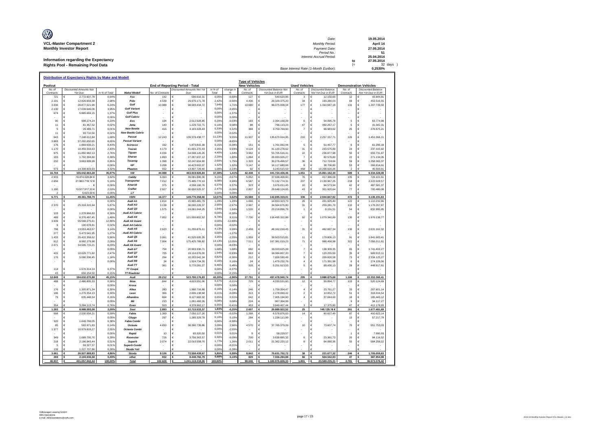| O                                    | Date:                                 |    | 19.05.2014 |
|--------------------------------------|---------------------------------------|----|------------|
| <b>VCL-Master Compartment 2</b>      | <b>Monthly Period:</b>                |    | April 14   |
| <b>Monthly Investor Report</b>       | Payment Date:                         |    | 27.05.2014 |
|                                      | Period No.:                           |    |            |
|                                      | Interest Accrual Period:              |    | 25.04.2014 |
| Information regarding the Expectancy |                                       | to | 27.05.2014 |
| Rights Pool - Remaining Pool Data    |                                       | ′= | 32 days    |
|                                      | Base Interest Rate (1-Month Euribor): |    | 0.2530%    |

|                     | Distribution of Expectancy Rights by Make and Modell |                |                               |                  |                                         |                     |                   | <b>Type of Vehicles</b> |                                                 |                      |                                                 |                     |                                                 |
|---------------------|------------------------------------------------------|----------------|-------------------------------|------------------|-----------------------------------------|---------------------|-------------------|-------------------------|-------------------------------------------------|----------------------|-------------------------------------------------|---------------------|-------------------------------------------------|
| Poolcut             |                                                      |                |                               |                  | End of Reporting Period - Total         |                     |                   | <b>New Vehicles</b>     |                                                 | <b>Used Vehicles</b> | <b>Demonstration Vehicles</b>                   |                     |                                                 |
| No. of<br>Contracts | <b>Discounted Amounts Not</b><br>Yet Due             | in % of Total  | Make/Modell                   | No. of Contracts | Discounted Amounts Not Yel<br>Due       | in % of<br>Total    | change in<br>%    | No. of<br>Contracts     | <b>Discounted Balance Not</b><br>Yet Due in FUR | No. of<br>Contracts  | <b>Discounted Balance</b><br>Not Yet Due in EUR | No. of<br>Contracts | <b>Discounted Balance</b><br>Not Yet Due in EUR |
| 721                 | 2.772.607,78<br>Ġ                                    | 0,64%          | Fox                           | 142              | 596.616,31                              | 0,05%               | $-0,60%$          | 127                     | 540,620.85<br>€                                 | 3                    | 12.150,65<br>€                                  | 12                  | 43.844,81<br>€                                  |
| 2.191               | €<br>12.826.659.38                                   | 2.98%          | Polo                          | 4.539            | €<br>29.976.171,78                      | 2,42%               | $-0,56%$          | 4.436                   | €<br>29.329.375.20                              | 34                   | €<br>193,280.03                                 | 69                  | €<br>453.516.55                                 |
| 3.036               | Ē<br>26.877.521,90                                   | 6,24%          | Golf                          | 10.988           | 98.593.434,72<br>€                      | 7,94%               | 1,71%             | 10.680                  | €<br>96.075.008,04                              | 177                  | $\epsilon$<br>1.310.687,18                      | 131                 | €<br>1.207.739,50                               |
| 2.130               | ¢<br>17 039 646 06                                   | 3 95%          | <b>Golf Variant</b>           |                  | E                                       | 0,009               | $-3,95%$          |                         | €                                               |                      | $\epsilon$                                      |                     | €                                               |
| 674                 | ¢<br>5 885 669 15                                    | 1.37%          | <b>Golf Plus</b>              |                  | €                                       | 0.00%               | $-1.37%$          |                         | €                                               |                      | $\epsilon$                                      |                     | €                                               |
|                     | €                                                    | 0.00%          | <b>Golf Cabrio</b>            |                  | $\overline{\phantom{a}}$                | 0,009<br>0.20%      | 0,00%             |                         | €                                               |                      | €                                               |                     | €                                               |
| 90                  | €<br>998.274,24                                      | 0,23%          | Eos<br>lotta                  | 194              | €<br>2.512.028.85                       | 0.10%               | $-0,03%$          | 183                     | €<br>2.394.158,09                               | 6                    | $\in$<br>54.095.78                              | 5                   | €<br>63,774.98                                  |
| 11<br>5             | €<br>81.467,52<br>€<br>29.489,71                     | 0.02%<br>0,01% | <b>New Beetle</b>             | 140<br>416       | €<br>1.229.722,71<br>€<br>4.103.328,43  | 0.339               | 0,08%<br>0,32%    | 88<br>384               | €<br>796.113,23<br>€<br>3.759.769,60            | 47<br>$\overline{7}$ | €<br>392.267,17<br>$\epsilon$<br>66.983,62      | 5<br>25             | €<br>41.342,31<br>€<br>276.575,21               |
| 11                  | €<br>93.710.56                                       | 0.02%          | <b>New Beetle Cabrio</b>      |                  | €                                       | 0,009               | $-0,02%$          |                         | €                                               |                      | €                                               |                     | €                                               |
| 643                 | $\epsilon$<br>7.248.012,84                           | 1,68%          | Passat                        | 12.243           | €<br>139.379.438,77                     | 11,239              | 9,55%             | 11.907                  | €<br>135.670.914,95                             | 210                  | $\in$<br>2.257.157,71                           | 126                 | €<br>1.451.366,11                               |
| 3.883               | $\epsilon$<br>37.292.650.65                          | 8.65%          | <b>Passat Variant</b>         |                  | €                                       | 0,009               | $-8.65%$          |                         | ¢                                               |                      | $\epsilon$                                      |                     | €                                               |
| 176                 | $\epsilon$<br>1.869.639,21                           | 0,43%          | Scirocco                      | 162              | 1.873.815,39<br>€                       | 0.15%               | $-0,28%$          | 151                     | 1.761.062,44<br>€                               | 5                    | $\epsilon$<br>51.457,77                         | $\,6\,$             | €<br>61.295,18                                  |
| 1 1 7 0             | €<br>10.459.333,63                                   | 2 43%          | Touran                        | 4.179            | 41.601.270,43<br>€                      | 3,359               | 0,93%             | 4 1 2 4                 | €<br>41.120.278.62                              | 31                   | $\epsilon$<br>243.575,89                        | 24                  | €<br>237.415,92                                 |
| 975                 | $\epsilon$<br>11.892.982.13                          | 2.76%          | Tiguan                        | 4.034            | €<br>54.598.126,26                      | 4.40%               | 1,64%             | 3.962                   | €<br>53,705,516.41                              | $22\,$               | $\epsilon$<br>236,877.98                        | 50                  | $\epsilon$<br>655.731.87                        |
| 183                 | $\epsilon$<br>1.702.394,60                           | 0,39%          | Sharan                        | 1.893            | €<br>27.287.637,12                      | 2,209               | 1,80%             | 1.864                   | €<br>26.933.926,27                              | $\overline{7}$       | $\epsilon$<br>82.576,80                         | 22                  | €<br>271.134,05                                 |
| 232                 | €<br>3.663.999,99                                    | 0.85%          | Touareg                       | 1.398            | €<br>32.247.604,60                      | 2.60%               | 1,75%             | 1.303                   | €<br>30.276.496,57                              | 36                   | $\in$<br>712.724,66                             | 59                  | $\epsilon$<br>1.258.383.37                      |
|                     | €                                                    | 0.00%          | up!                           | 3.208            | €<br>16.423.002,07                      | 1,329               | 1,32%             | 3.147                   | €<br>16.117.680,66                              | 8                    | $\in$<br>38,706.80                              | 53                  | €<br>266.614.61                                 |
| 573                 | 14.308.603.93                                        | 3.329          | Phaeton                       | 552              | 13 497 729 40                           | 1,09%               | $-2.239$          | 92                      | 3 243 515 51                                    | 458                  | 10 208 620 26                                   | $\mathfrak{p}$      | 45 593 61                                       |
| 16.704              | 155.042.663,28<br>c                                  | 35,97%         | <b>VW</b>                     | 44.088           | 463.919.926,84                          | 37,38%              | 1.41%             | 42.448                  | 441.724.436,46                                  | 1.051                | 15.861.162,30<br>€                              | 589                 | 6.334.328,08<br>€                               |
| 2.933               | 16.474.528,84 €                                      | 3,82%          | Caddy                         | 6.063            | 39.081.896,30<br>€                      | 3,159               | $-0,679$          | 5852                    | 37.938.408,60<br>€                              | 76                   | 417.386,09<br>€                                 | 135                 | 726.101,61<br>€                                 |
| 2.656               | 21 963 719 12 6                                      | 5 10%          | <b>Transporter</b>            | 7 0 1 2          | 75 485 770 13<br>€                      | 6,08%               | 0.99%             | 6.587                   | €<br>71 132 774 31                              | 207                  | $\epsilon$<br>2 130 967 25                      | 218                 | €<br>2 222 028 57                               |
| 1.180               | $ \epsilon$<br>10.917.917.33 €                       | 0.00%<br>2.53% | Amarok<br>Crafter             | 375<br>2927      | 4.558.166,76<br>€<br>30.650.525,37<br>€ | 0,379<br>2,47       | 0.379<br>$-0,06%$ | 323<br>2807             | 3.976.011,45<br>€<br>29.648.124,65<br>€         | 10<br>43             | €<br>94.573.94<br>€<br>301.920.64               | 42<br>77            | €<br>487.581,37<br>700.480,08<br>€              |
|                     |                                                      | 0,00%          | LT                            |                  |                                         | 0.00%               | 0,00%             |                         |                                                 |                      |                                                 |                     |                                                 |
| 6.771               | 5.623,50 €<br>49.361.788,79                          | 11,45%         | <b>VWN</b>                    | 16.377           | 149.776.358,56                          | 12.07%              | 0,62%             | 15.569                  | €<br>142.695.319,01                             | 336                  | €<br>2.944.847,92                               | 472                 | €<br>4.136.191,63                               |
|                     |                                                      | 0.00%          | Audi A1                       | 1.814            | €<br>15.965.481.79                      | 1,29%               | 1,299             | 1.666                   | €<br>14.653.323.73                              | 26                   | €<br>201.925.40                                 | 122                 | €<br>1.110.232.66                               |
| 2.370               | 25.318.315,94<br>Ē                                   | 5.87%          | Audi A3                       | 3.138            | €<br>36,000.226.37                      | 2.90                | $-2,97%$          | 2.997                   | 34.564.676,80<br>€                              | 31                   | €<br>259.281.70                                 | 110                 | €<br>1.176.267.87                               |
|                     | ¢                                                    | 0.00%          | Audi Q3                       | 1.575            | €<br>24.061.044,25                      | 1,949               | 1,94%             | 1.520                   | €<br>23.219.896,79                              | $\overline{1}$       | $\epsilon$<br>8.151,51                          | 54                  | €<br>832.995,95                                 |
| 103                 | €<br>1.278.966.83                                    | 0.30%          | Audi A3 Cabrio                |                  | €                                       | 0.00%               | $-0.30%$          |                         | €                                               |                      | €                                               |                     | €                                               |
| 489                 | €<br>6.376.497,45                                    | 1,48%          | Audi A4                       | 7.952            | €<br>121.550.802,52                     | 9,79%               | 8,31%             | 7.730                   | €<br>118.495.322,86                             | 92                   | €<br>1.079.340,89                               | 130                 | €<br>1.976.138,77                               |
| 3.939               | $\epsilon$<br>55 568 275 61                          | 12.89%         | Audi A4 Avant                 |                  | €                                       | 0,009               | $-12.89%$         |                         | €                                               |                      | $\epsilon$                                      |                     | €                                               |
| $\mathbf{Q}$        | $\epsilon$<br>100.078.8                              | 0,02%          | Audi A4 Cabrio                |                  | €                                       | 0.00%               | $-0,02%$          |                         | €                                               |                      | $\epsilon$                                      |                     | €                                               |
| 798                 | $\epsilon$<br>13.553.463.57                          | 3,14%          | Audi A5                       | 2.620            | €<br>51.255.876,11                      | 4,139               | 0,99%             | 2.459                   | €<br>48.162.016,45                              | 31                   | $\epsilon$<br>462.697,34                        | 130                 | $\epsilon$<br>2.631.162,32                      |
| 277                 | €<br>5.473.541,95                                    | 1,27%          | Audi A5 Cabrio                |                  | E                                       | 0,009               | $-1,27%$          |                         | €                                               |                      | $\epsilon$                                      |                     | €                                               |
| 1.433               | €<br>25.422.358,62                                   | 5,90%          | Audi O5                       | 2.061            | 41.525.005,35<br>E                      | 3,359               | $-2,55%$          | 1.959                   | €<br>39.503.515,81                              | 11                   | $\in$<br>179.806,13                             | 91                  | $\epsilon$<br>1.841.683,41                      |
| 612                 | €<br>8.992.279.98                                    | 2,09%          | Audi A6                       | 7.904            | €<br>175.425.789,82                     | 14,13%              | 12,05%            | 7.511                   | €<br>167.381.019,23                             | 71                   | €<br>988.458,98                                 | 322                 | €<br>7.056.311,61                               |
| 2.071               | Ē<br>34.595.715,21<br>¢                              | 8,03%          | Audi A6 Avant<br>Audi A7      |                  | ¢                                       | 0,00%<br>1,68%      | $-8,03%$          | 682                     | €                                               | $\overline{7}$       | €<br>$\epsilon$                                 |                     | €<br>€                                          |
| 415                 | ¢<br>10.629.771.82                                   | 0.00%<br>2.47% | Audi Q7                       | 754<br>705       | 20.903.336,71<br>19 114 076 00<br>€     | 1,54%               | 1,68%<br>$-0.93%$ | 663                     | €<br>19.023.625,09<br>¢<br>18 084 807 20        | $\overline{7}$       | 138.309,35<br>$\epsilon$<br>120 255 69          | 65<br>35            | 1.741.402,27<br>€<br>909.013.11                 |
| 176                 | €<br>5.090.336.45                                    | 1,18%          | Audi A8                       | 294              | €<br>10.203.542.34                      | 0,829               | $-0,36%$          | 212                     | €<br>7.659.590.49                               | $\mathbf{Q}$         | €<br>209.826.58                                 | 73                  | €<br>2.334.125.27                               |
|                     | €                                                    | 0.00%          | Audi R8                       | 34               | €                                       | 0.16%               |                   | 24                      | €                                               | $\overline{4}$       | $\in$                                           | $\,6\,$             | €                                               |
|                     |                                                      |                | Audi TT                       | 361              | 1.924.734,30<br>€<br>5.770.261.27       | 0.46%               | 0,16%<br>0,46%    | 328                     | 1.479.232,76<br>5.251.913,53<br>€               | 5                    | 171.391,98<br>$\in$<br>69.430,13                | 28                  | 274.109,56<br>€<br>448.917,61                   |
| 114                 | €<br>1.576.314,14                                    | 0,37%          | <b>TT Coupé</b>               |                  | €                                       | 0,009               | $-0,37%$          |                         | €                                               |                      | €                                               |                     | €                                               |
| 43                  | 656.154.50                                           | 0,15%          | <b>TT Roadster</b>            |                  |                                         | 0.00%               | $-0,15%$          |                         |                                                 |                      |                                                 |                     |                                                 |
| 12.849              | 194.632.070,88<br>€                                  | 45,15%         | Audi                          | 29.212           | 523.700.176,83                          | 42,20%              | $-2,96%$          | 27.751                  | 497.478.940,74<br>€                             | 295                  | €<br>3.888.875,68                               | 1.166               | 22.332.360,41<br>€                              |
| 488                 | Ē<br>2.486.805,33                                    | 0.58%          | Ibiza                         | 844              | €<br>4.610.551,06                       | 0,379               | $-0.219$          | 729                     | €<br>4.030.531,60                               | 12                   | €<br>59.894,77                                  | 103                 | €<br>520.124,69                                 |
|                     | €                                                    | 0,00%          | Arosa                         |                  | €                                       | 0,00%               | 0,00%             |                         | €                                               |                      | €                                               |                     | €                                               |
| 176                 | $\epsilon$<br>1.305.871.34                           | 0.30%          | Altea                         | 283              | €<br>1990 716 88                        | 0,169               | $-0.149$          | 246                     | €<br>1 759 354 47                               | $\boldsymbol{A}$     | $\epsilon$<br>23 761 27                         | 33                  | €<br>207.601,14                                 |
| 186                 | $\epsilon$<br>1 276 354 13                           | 0.30%          | Leon                          | 366              | $\in$<br>2 606 138 68                   | 0,219               | $-0.09%$          | 313                     | 2 278 069 42<br>€                               | $\mathfrak{p}$       | $\epsilon$<br>10.052.72                         | 51                  | €<br>318 016 54                                 |
| 79                  | $\epsilon$<br>635.448,54                             | 0,15%          | Alhambra                      | 664              | €<br>8.127.682.32                       | 0,659               | 0,51%             | 642                     | €<br>7.905.194.60                               | $\overline{4}$       | $\epsilon$<br>37.044,60                         | 18                  | €<br>185.443.12                                 |
|                     | $\epsilon$                                           | 0.00%          | Mii                           | 233              | €<br>1.001.482,26                       | 0.08%               | 0,08%             | 224                     | €<br>967.364.99                                 |                      | $\epsilon$                                      | $\overline{9}$      | $\epsilon$<br>34.117,27                         |
| 354                 | 3.284.113,74                                         | 0,76%          | Exec                          | 503              | 4.378.962,17                            | 0.35%               | $-0,419$          | 453                     | 3.949.407,44                                    | 3                    | 17.375,80                                       | 47                  | 412.178,93                                      |
| 1.283               | 8.988.593,08<br>€                                    | 2,09%          | Seat                          | 2.893            | 22.715.533,37                           | 1,83%               | $-0.25%$          | 2.607                   | €<br>20.889.922,52                              | 25                   | 148.129,16€                                     | 261                 | €<br>1.677.481,69                               |
| 568                 | €<br>2.530.558.3                                     | 0.599          | Fabia                         | 1.369            | 7.050.127.26                            | 0,57%<br>$0.10^{t}$ | $-0.029$          | 1.268                   | 6,578,876.63<br>€                               | 14                   | €<br>60.627.49                                  | 87                  | €<br>410.623.14                                 |
| 320                 | Ġ<br>1 649 766 05                                    | 0.00%<br>0.38% | Citvao                        | 297              | 1.285.329,78<br>€                       | 0,00%               | 0,10%<br>$-0.389$ | 284                     | 1.228.111,99<br>€                               |                      | €                                               | 13                  | €<br>57.217,79                                  |
| 85                  | ¢<br>€<br>593.971.83                                 | 0.14%          | <b>Fabia Combi</b><br>Octavia | 4.650            | 38.390.739,86<br>€                      | 3.09                | 2,96%             | 4.570                   | €<br>37.765.379,09<br>€                         | 10                   | €<br>€<br>73,607.74                             | 70                  | €<br>551.753,03<br>€                            |
| 1.377               | ¢<br>10.979.819.27                                   | 2.55%          | Octavia Combi                 |                  | E                                       | 0,009               | $-2,55%$          |                         | €                                               |                      | $\epsilon$                                      |                     | €                                               |
|                     | ¢                                                    | 0.00%          | Rapid                         | 10               | £<br>65 320 50                          | 0.019               | 0.01%             | $\mathbf{Q}$            | €<br>58 229 57                                  |                      | €                                               | 1                   | €<br>7.090.93                                   |
| 349                 | 1.689.795.70<br>€                                    | 0.39%          | Roomstei                      | 726              | 3.756.363.57<br>€                       | 0,309               | $-0,09%$          | 700                     | 3.638.885.32<br>€                               | 6                    | €<br>23.361.73                                  | 20                  | €<br>94.116.52                                  |
| 218                 | €<br>2.196.943,44                                    | 0,51%          | <b>Superb</b>                 | 2.074            | €<br>22.010.558,70                      | 1,779               | 1,26%             | 2.011                   | €<br>21.362.220,12                              | 8                    | $\in$<br>64.080,36                              | 55                  | €<br>584.258,22                                 |
| 5                   | €<br>59.327,37                                       | 0.01%          | <b>Superb Combi</b>           |                  | €                                       | 0,00%               | $-0,01%$          |                         | €                                               |                      | €                                               |                     | €                                               |
| 139                 | 1 227 707 8                                          | 0.28%          | Skoda Yeti                    |                  |                                         | 0,009               | $-0.289$          |                         |                                                 |                      |                                                 |                     |                                                 |
| 3.061               | €<br>20.927.889.83                                   | 4,86%          | Skoda                         | 9.126            | 72.558.439,67                           | 5,85%               | 0.99%             | 8.842                   | 70.631.702.72                                   | 38                   | €<br>221,677,32                                 | 246                 | 1.705.059,63<br>€                               |
| 269                 | 2.104.036,58<br>€                                    | 0,49%          | other                         | 932              | 8.448.782,79<br>€                       | 0.68%               | 0,19%             | 829                     | 7.556.284,88                                    | 56                   | 504.542,93<br>€                                 | 47                  | 387.954,98                                      |
| 40.937              | 431.057.042,44                                       | 100,00%        | Total                         | 102.628          | $\epsilon$<br>1.241.119.218,06          | 100,00%             |                   | 98.046                  | 1.180.976.606,33                                | 1.801                | 23.569.235,31                                   | 2.781               | 36.573.376,42                                   |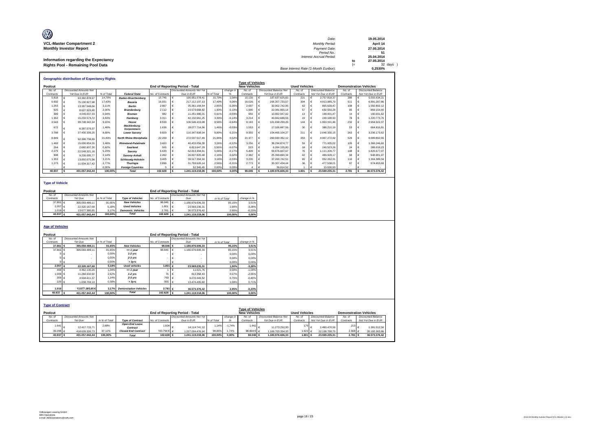| O                                    | Date:                                 |     | 19.05.2014 |
|--------------------------------------|---------------------------------------|-----|------------|
| <b>VCL-Master Compartment 2</b>      | <b>Monthly Period:</b>                |     | April 14   |
| <b>Monthly Investor Report</b>       | Payment Date:                         |     | 27.05.2014 |
|                                      | Period No.:                           |     | 51         |
|                                      | Interest Accrual Period:              |     | 25.04.2014 |
| Information regarding the Expectancy |                                       | to  | 27.05.2014 |
| Rights Pool - Remaining Pool Data    |                                       | $=$ | 32 days    |
|                                      | Base Interest Rate (1-Month Euribor): |     | 0.2530%    |

|           | <b>Geographic distribution of Expectancy Rights</b> |            |                               |                  |                                        |            |           |                         |                               |                      |                           |                               |                           |
|-----------|-----------------------------------------------------|------------|-------------------------------|------------------|----------------------------------------|------------|-----------|-------------------------|-------------------------------|----------------------|---------------------------|-------------------------------|---------------------------|
|           |                                                     |            |                               |                  |                                        |            |           | <b>Type of Vehicles</b> |                               |                      |                           |                               |                           |
| Poolcut   |                                                     |            |                               |                  | <b>End of Reporting Period - Total</b> |            |           | <b>New Vehicles</b>     |                               | <b>Used Vehicles</b> |                           | <b>Demonstration Vehicles</b> |                           |
| No. of    | <b>Discounted Amounts Not</b>                       |            |                               |                  | <b>Discounted Amounts Not Yet</b>      |            | change in | No. of                  | <b>Discounted Balance Not</b> | No. of               | <b>Discounted Balance</b> | No. of                        | <b>Discounted Balance</b> |
| Contracts | Yet Due in EUR                                      | % of Total | <b>Federal State</b>          | No. of Contracts | Due in EUR                             | % of Total |           | Contracts               | Yet Due in EUR                | Contracts            | Not Yet Due in EUR        | Contracts                     | Not Yet Due in EUR        |
| 5.818     | 63.382.878.97                                       | 14.70%     | <b>Baden-Wuerttemberg</b>     | 15.746           | 195.951.078.41                         | 15.79%     | 1.08%     | 15.139                  | 187.637.625.83                | 221                  | 2.757.818.37              | 386                           | 5.555.634.21              |
| 6.692     | 75.130.927.98                                       | 17.43%     | Bavaria                       | 16.931           | 217.112.107.13                         | 17.49%     | 0.06%     | 16.026                  | 205.307.733.57                | 394                  | 4.913.085.70              | 511                           | 6.891.287.86              |
| 1.263     | 13,397,548,66                                       | 3.11%      | <b>Berlin</b>                 | 2.867            | 35.361.184.54                          | 2,85%      | $-0.26%$  | 2.697                   | 32.902.742.95                 | 62                   | 865.639.47                | 108                           | 1.592.802.12              |
| 925       | 8.627.503.80                                        | 2.00%      | <b>Brandenburg</b>            | 2.112            | 23.573.668.82                          | 1.90%      | $-0.10%$  | 1.990                   | 22.081.955.14                 | 57                   | 632.559.28                | 65                            | 859.154.40                |
| 389       | 4.049.037.33                                        | 0.94%      | <b>Bremen</b>                 | 982              | 11.251.980.31                          | 0.91%      | $-0.03%$  | 955                     | 10.862.947.02                 | 13                   | 199.001.47                | 14                            | 190.031.82                |
| 1.362     | 15.233.573.72                                       | 3.53%      | Hamburg                       | 3.311            | 42.132.661.25                          | 3.39%      | $-0.14%$  | 3.214                   | 40.662.688.56                 | 19                   | 249.198.93                | 78                            | 1.220.773,76              |
| 3.543     | 39.748.342,34                                       | 9.22%      | Hesse                         | 8.539            | 106.546.413.09                         | 8,58%      | $-0.64%$  | 8.163                   | 101.638.299.26                | 144                  | 1.953.191.46              | 232                           | 2.954.922.37              |
| 672       | 6.397.079.37                                        | 1.48%      | Mecklenburg-<br>Vorpommern    | 1.636            | 18.077.714.56                          | 1.46%      | $-0.03%$  | 1.553                   | 17.026.687.56                 | 30                   | 386,210.19                | 53                            | 664.816.81                |
| 3,788     | 37.435.339.20                                       | 8.68%      | <b>Lower Saxony</b>           | 9.829            | 110.347.608.04                         | 8.89%      | 0.21%     | 9.355                   | 104.465.104.27                | 211                  | 2.646.330.15              | 263                           | 3.236.173.62              |
| 8.849     | 92.396.738.89                                       | 21.43%     | <b>North Rhine-Westphalia</b> | 22.259           | 272.537.517.49                         | 21.96%     | 0.52%     | 21.377                  | 260.930.352.12                | 353                  | 4.907.272.82              | 529                           | 6.699.892.55              |
| 1.469     | 15.006.654.55                                       | 3.48%      | <b>Rhineland-Palatinate</b>   | 3.420            | 40.433.056.39                          | 3.26%      | $-0.22%$  | 3.256                   | 38.294.874.77                 | 59                   | 771.935.02                | 105                           | 1.366.246.60              |
| 264       | 2.682.607.30                                        | 0.62%      | <b>Saarland</b>               | 565              | 6.813.647.29                           | 0,55%      | $-0.07%$  | 523                     | 6.284.105.80                  | 18                   | 240.523.26                | 24                            | 289.018.23                |
| 2.279     | 22.549.321.16                                       | 5.23%      | Saxonv                        | 5.633            | 62.813.394.51                          | 5.06%      | $-0.17%$  | 5.409                   | 59.876.607.67                 | 76                   | 1.111.209.77              | 148                           | 1.825.577.07              |
| 998       | 9.235.095.77                                        | 2.14%      | Saxony-Anhalt                 | 2.492            | 26.837.820.48                          | 2.16%      | 0.02%     | 2.382                   | 25.399.890.34                 | 42                   | 489.928.17                | 68                            | 948.001.97                |
| 1.353     | 13.850.075.98                                       | 3.21%      | <b>Schleswig-Holstein</b>     | 3.405            | 39.517.394.16                          | 3.18%      | $-0.03%$  | 3.230                   | 37.260.742.51                 | 65                   | 952.262.31                | 110                           | 1.304.389.34              |
| 1.273     | 11.934.317.42                                       | 2.77%      | <b>Thuringia</b>              | 2.896            | 31.759.626.14                          | 2.56%      | $-0.21%$  | 2.773                   | 30.307.434.44                 | 36                   | 477.538,01                | 87                            | 974.653.69                |
|           |                                                     | 0.00%      | <b>Foreian Countries</b>      |                  | 52.345.45                              | 0.00%      | 0.00%     |                         | 36.814.52                     |                      | 15,530.93                 |                               |                           |
| 40.937    | 431.057.042.44                                      | 100.00%    | <b>Total</b>                  | 102,628          | 1.241.119.218.06                       | 100.00%    | 0.00%     | 98.046                  | 1,180,976,606,33              | 1.801                | 23.569.235.31             | 2.781                         | 36,573,376.42             |

#### **Type of Vehicle**

| Poolcut     |                        |               |                           |                  | End of Reporting Period - Total |               |             |
|-------------|------------------------|---------------|---------------------------|------------------|---------------------------------|---------------|-------------|
| No. of      | Discounted Amounts Not |               |                           |                  | Discounted Amounts Not Yet      |               |             |
| Contracts   | Yet Due                | in % of Total | <b>Type of Vehicles</b>   | No. of Contracts | Due                             | in % of Total | change in % |
| 37.861 $6$  | 395.059.489.11         | 91.65%        | <b>New Vehicles</b>       | 98,046           | 1.180.976.606.33                | 95.15%        | 3.51%       |
| $2.057 \in$ | 22.320.167.68          | 5.18%         | <b>Used Vehicles</b>      | 1.801            | 23.569.235.31                   | 1.90%         | $-3.28%$    |
| 1.019 $6$   | 13.677.385.65          | 3.17%         | <b>Demonstr.</b> Vehicles | 2.781            | 36.573.376.42                   | 2.95%         | $-0.23%$    |
| 40.937 €    | 431.057.042.44         | 100.00%       | <b>Total</b>              | 102.628          | 1.241.119.218.06                | 100.00%       | 0.00%       |

#### **Age of Vehicles**

| Poolcut                 |                               |               |                              |                  | <b>End of Reporting Period - Total</b> |               |           |                         |                               |                      |                           |           |                               |
|-------------------------|-------------------------------|---------------|------------------------------|------------------|----------------------------------------|---------------|-----------|-------------------------|-------------------------------|----------------------|---------------------------|-----------|-------------------------------|
| No. of                  | <b>Discounted Amounts Not</b> |               |                              |                  | <b>Discounted Amounts Not Yet</b>      |               |           |                         |                               |                      |                           |           |                               |
| Contracts               | Yet Due                       | in % of Total |                              | No. of Contracts | Due                                    | in % of Total |           | change in %             |                               |                      |                           |           |                               |
| 37,861 €                | 395.059.489.11                | 91.65%        | <b>New Vehicles</b>          | 98,046 €         | 1.180.976.606.33                       |               | 95.15%    | 3,51%                   |                               |                      |                           |           |                               |
| 37.86                   | 395.059.489.11                | 91,65%        | $= 1$ year                   | 98.046           | 1.180.976.606.33                       |               | 95,15%    | 3.51%                   |                               |                      |                           |           |                               |
|                         |                               | 0.00%         | $1-2$ yrs                    |                  |                                        |               | 0,00%     | 0,00%                   |                               |                      |                           |           |                               |
|                         |                               | 0.00%         | $2-3$ yrs                    |                  |                                        |               | 0,00%     | 0,00%                   |                               |                      |                           |           |                               |
|                         |                               | 0.00%         | > 3yrs                       |                  | $\overline{\phantom{a}}$               |               | 0,00%     | 0,00%                   |                               |                      |                           |           |                               |
| 2.057 €                 | 22.320.167.68                 | 5,18%         | <b>Used vehicles</b>         | 1.801 €          | 23.569.235.31                          |               | 1,90%     | $-3,28%$                |                               |                      |                           |           |                               |
| 469                     | 4.462.130,26                  | 1.04%         | $= 1$ year                   |                  | 11.021,76                              |               | 0,00%     | $-1,03%$                |                               |                      |                           |           |                               |
| 1.009 €                 | 11.284.632.92                 | 2,62%         | $1-2$ yrs                    | 76               | 813.358.43                             |               | 0,07%     | $-2,55%$                |                               |                      |                           |           |                               |
| 359                     | 4.934.611.37                  | 1,14%         | $2-3$ yrs                    | 769              | 9.270.449.52                           |               | 0,75%     | $-0.40%$                |                               |                      |                           |           |                               |
| 220 €                   | 1.638.793.13                  | 0,38%         | > 3yrs                       | 955              | 13,474,405.60                          |               | 1,09%     | 0,71%                   |                               |                      |                           |           |                               |
|                         |                               |               |                              |                  |                                        |               |           |                         |                               |                      |                           |           |                               |
| 1.019                   | 13,677,385,65€                | 3.17%         | <b>Demonstation Vehicles</b> | 2.781 €          | 36,573,376.42                          |               | 2,95%     | $-0,23%$                |                               |                      |                           |           |                               |
| 40.937                  | 431.057.042,44                | 100,00%       | <b>Total</b>                 | 102.628 €        | 1.241.119.218,06                       |               | 100,00%   | 0,00%                   |                               |                      |                           |           |                               |
|                         |                               |               |                              |                  |                                        |               |           |                         |                               |                      |                           |           |                               |
|                         |                               |               |                              |                  |                                        |               |           |                         |                               |                      |                           |           |                               |
| <b>Type of Contract</b> |                               |               |                              |                  |                                        |               |           |                         |                               |                      |                           |           |                               |
|                         |                               |               |                              |                  |                                        |               |           | <b>Type of Vehicles</b> |                               |                      |                           |           |                               |
| Poolcut                 |                               |               |                              |                  | <b>End of Reporting Period - Total</b> |               |           | <b>New Vehicles</b>     |                               | <b>Used Vehicles</b> |                           |           | <b>Demonstration Vehicles</b> |
| No. of                  | <b>Discounted Amounts Not</b> |               |                              |                  | <b>Discounted Amounts Not Yet</b>      |               | change in | No. of                  | <b>Discounted Balance Not</b> | No. of               | <b>Discounted Balance</b> | No. of    | <b>Discounted Balance</b>     |
| Contracts               | Yet Due                       | in % of Total | <b>Type of Contract</b>      | No. of Contracts | Due in EUR                             | % of Total    |           | Contracts               | Yet Due in EUR                | Contracts            | Not Yet Due in EUR        | Contracts | Not Yet Due in EUR            |

| rvoicut          |                               |               |                                   | Eliu VI Reporting Feriog - Total | <b>INGM ACITIOLS</b>              |            |           |            | <b>USCU VEHICLES</b>          |                  | <b>DEININISH AUVIL VEHICLES</b> |           |                           |
|------------------|-------------------------------|---------------|-----------------------------------|----------------------------------|-----------------------------------|------------|-----------|------------|-------------------------------|------------------|---------------------------------|-----------|---------------------------|
| No. of           | <b>Discounted Amounts Not</b> |               |                                   |                                  | <b>Discounted Amounts Not Yet</b> |            | change in | No. of     | <b>Discounted Balance Not</b> | No. of           | <b>Discounted Balance</b>       | No. of    | <b>Discounted Balance</b> |
| Contracts        | Yet Due                       | in % of Total | <b>Type of Contract</b>           | No. of Contracts                 | Due in EUR                        | % of Total |           | Contracts  | Yet Due in EUR                | Contracts        | Not Yet Due in EUR              | Contracts | Not Yet Due in EUR        |
| 1.641 $\epsilon$ | 12.417.715.71                 | 2.88%         | <b>Open End Lease</b><br>Contract | 1.834                            | 14.114.741.12                     | 1.14%      | $-1.74%$  | $.442 -$   | 11.273.252.00                 | 179 <sub>e</sub> | 1.460.476.56                    | 213       | 1.381.012.56              |
| 39.296 €         | 418.639.326.73                | 97.12%        | <b>Closed End Contract</b>        | 100.794 € €                      | 1.227.004.476.94                  | 98.86%     | 1.74%     | 96.604 € € | 1.169.703.354.33              | 1.6226           | 22.108.758.75                   | 2.568     | 35.192.363.86             |
| 40.937 €         | 431.057.042.44                | 100.00%       | <b>Total</b>                      | 102.628                          | 1.241.119.218.06                  | 100.00%    | 0.00%     | $98.046$ 6 | 1.180.976.606.33              | 1,801 €          | 23.569.235.31                   | 2.781 €   | 36.573.376.42             |
|                  |                               |               |                                   |                                  |                                   |            |           |            |                               |                  |                                 |           |                           |
|                  |                               |               |                                   |                                  |                                   |            |           |            |                               |                  |                                 |           |                           |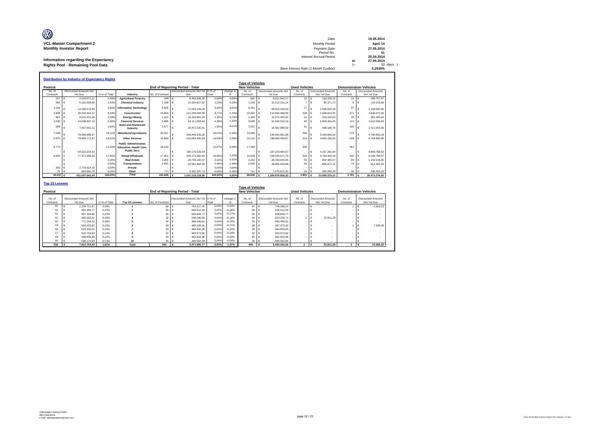| O                                    | Date:                                 | 19.05.2014 |
|--------------------------------------|---------------------------------------|------------|
| <b>VCL-Master Compartment 2</b>      | <b>Monthly Period:</b>                | April 14   |
| <b>Monthly Investor Report</b>       | Payment Date:                         | 27.05.2014 |
|                                      | Period No.:                           |            |
|                                      | <b>Interest Accrual Period:</b>       | 25.04.2014 |
| Information regarding the Expectancy |                                       | 27.05.2014 |
| Rights Pool - Remaining Pool Data    |                                       | 32 days )  |
|                                      | Base Interest Rate (1-Month Euribor): | 0.2530%    |

|           | <b>Distribution by Industry of Expectancy Rights</b> |               |                                                                                        |                  |                                        |         |           |                         |                               |                      |                            |           |                               |
|-----------|------------------------------------------------------|---------------|----------------------------------------------------------------------------------------|------------------|----------------------------------------|---------|-----------|-------------------------|-------------------------------|----------------------|----------------------------|-----------|-------------------------------|
|           |                                                      |               |                                                                                        |                  |                                        |         |           | <b>Type of Vehicles</b> |                               |                      |                            |           |                               |
| Poolcut   |                                                      |               |                                                                                        |                  | <b>End of Reporting Period - Total</b> |         |           | <b>New Vehicles</b>     |                               | <b>Used Vehicles</b> |                            |           | <b>Demonstration Vehicles</b> |
| No. of    | <b>Discounted Amounts Not</b>                        |               |                                                                                        |                  | Discounted Amounts Not Yet In % of     |         | change in | No. of                  | <b>Discounted Amounts Not</b> | No. of               | <b>Discounted Amounts</b>  | No. of    | <b>Discounted Amounts</b>     |
| Contracts | Yet Due                                              | in % of Total | Industry                                                                               | No. of Contracts | Due                                    | Total   |           | Contracts               | Yet Due                       | Contracts            | Not Yet Due                | Contracts | Not Yet Due                   |
| 257       | 2.519.571.21                                         | 0.58%         | <b>Aariculture/Forestrv</b>                                                            | 698              | 8.404.906.30                           | 0.68%   | $-0.09%$  | 662                     | 8.011.942.17                  | $12 \quad \epsilon$  | 103.256.16                 | $24 \in$  | 289,707.97                    |
| 566       | 6.162.558.95                                         | 1.43%         | <b>Chemical Industry</b>                                                               | 1.248            | 15.324.817.62                          | 1,23%   | 0,19%     | 1.233                   | 15.112.216.24<br>€            |                      | 96.371.72                  |           | 116,229.66                    |
| 1.204     | 12.049.572,89                                        | 2.80%         | <b>Information Technology</b>                                                          | 5.525            | 72.025.149,28                          | 5,80%   | $-3,01%$  | 5.351                   | 69.610.434.63                 | 77                   | 1.096.620,19               | 97        | 1.318.094,46                  |
| 3.839     | 36.316.564.21                                        | 8.43%         | <b>Construction</b>                                                                    | 10.860           | 121.230.584.58                         | 9.77%   | $-1.34%$  | 10.281                  | 114.656.489.06<br>€           | 208                  | .938.023.32                | 371       | 4.636.072,20                  |
| 987       | 9.016.331,36                                         | 2.09%         | <b>Energy/Mining</b>                                                                   | 1.413            | 16.194.961.59                          | 1.30%   | 0.79%     | 1.360                   | 15.570.455,02<br>€            | 21                   | 243.160.63                 | 32        | 381.345,94                    |
| 2.030     | 24.508.697.13                                        | 5.69%         | <b>Financial Services</b>                                                              | 3,888            | 54.111.659.44                          | 4,36%   | 1.33%     | 3.695                   | 51.040.322,19<br>€            | 83                   | .459.331,05                | 110       | 1.612.006,20                  |
| 689       | 7.057.651.11                                         | 1.64%         | <b>Hotel and Restaurant</b><br>Industry                                                | 1.677            | 20.472.220.41                          | 1.65%   | $-0,01%$  | 1.521                   | 18.362.986.59                 | 51                   | 598,180.76                 | 105       | 1.511.053.06                  |
| 7.298     | 78.089.686.97                                        | 18.12%        | <b>Manufacturing Industry</b>                                                          | 20.011           | 248.449.239,29                         | 20.02%  | $-1.90%$  | 19.385                  | 240.492.851.06                | 256                  | 3.159.695,04               | 370       | 4.796.693,19                  |
| 6.970     | 79.809.772.87                                        | 18.51%        | <b>Other Services</b>                                                                  | 15.884           | 210.093.356.93                         | 16,93%  | 1.59%     | 15.112                  | 198.483.459.87<br>I€          | 314                  | 4.855.236,26               | 458       | 6.754.660,80                  |
| 9.772     |                                                      | 21.93%        | <b>Public Administration.</b><br><b>Education, Health Care.</b><br><b>Public Serv.</b> | 18.153           |                                        | 15.97%  | 5.96%     | 17,284                  |                               | 306                  |                            | 563       |                               |
|           | 94.510.204,43                                        |               |                                                                                        |                  | 198.176.529.54                         |         |           |                         | 187.159.459.07                |                      | 4.207.281,94               |           | 6.809.788.53<br>€             |
| 6.945     | 77.372.066.20                                        | 17.95%        | Retail/Wholesale                                                                       | 17,401           | 209.173.360.45                         | 16.85%  | 1,10%     | 16.639                  | $\epsilon$<br>199.335.071.70  | 318                  | 3.793.494.18<br>$\epsilon$ | 444       | 6.044.794.57                  |
|           |                                                      | 0.00%         | <b>Real Estate</b>                                                                     | 2.406            | 28.738.130.57                          | 2,32%   | $-2,32%$  | 2.262                   | 26.783.645.65<br>$\epsilon$   | 55                   | 802.465.57                 | 89        | 1.152.019.35                  |
| ۰         |                                                      | 0,00%         | Transportation                                                                         | 2.693            | 30.561.964.33                          | 2,46%   | $-2,46%$  | 2.550                   | 28.881.600.88<br>€            | 69                   | 865,872.11                 | 74        | 814.491.34                    |
| 305       | 2.779.524,35                                         | 0.64%         | Private                                                                                |                  |                                        | 0,00%   | 0.64%     |                         |                               |                      |                            |           |                               |
| 75        | 864,840.76                                           | 0.20%         | Other                                                                                  | 77 <sup>1</sup>  | 8.162.337.73                           | 0.66%   | $-0.46%$  | 711                     | 7.475.672.20<br>I€            | 24                   | 350.246.38                 | 36        | 336.419,15                    |
| 40.937 €  | 431.057.042.44                                       | 100.00%       | <b>Total</b>                                                                           | 102.628          | 1.241.119.218.06                       | 100,00% | 0,00%     | 98,046                  | 1,180,976,606,33              | 1.801                | 23.569.235.31              | 2.781     | 36.573.376,42                 |

| <b>Top 10 Lessees</b> |                                          |               |                |                  |                                           |          |           |                                                |                                          |                      |                                          |                               |                                          |  |
|-----------------------|------------------------------------------|---------------|----------------|------------------|-------------------------------------------|----------|-----------|------------------------------------------------|------------------------------------------|----------------------|------------------------------------------|-------------------------------|------------------------------------------|--|
| Poolcut               |                                          |               |                |                  | End of Reporting Period - Total           |          |           | <b>Type of Vehicles</b><br><b>New Vehicles</b> |                                          | <b>Used Vehicles</b> |                                          | <b>Demonstration Vehicles</b> |                                          |  |
| No. of<br>Contracts   | <b>Discounted Amounts Not</b><br>Yet Due | in % of Total | Top 10 Lessees | No. of Contracts | Discounted Amounts Not Yet in % of<br>Due | Total    | change in | No. of<br>Contracts                            | <b>Discounted Amounts Not</b><br>Yet Due | No. of<br>Contracts  | <b>Discounted Amounts</b><br>Not Yet Due | No. of<br>Contracts           | <b>Discounted Amounts</b><br>Not Yet Due |  |
| 60                    | 1.234.721.87                             | 0.29%         |                | 68               | 754.217.45                                | 0.06%    | $-0.23%$  | 67                                             | 748.288.22                               | . .                  | $\overline{\phantom{a}}$                 |                               | 5.929.23                                 |  |
| 63                    | 991.393.77                               | 0.23%         |                | 58 €             | 636,512.56                                | 0.05%    | $-0.18%$  | 58 €                                           | 636.512.56                               | $\sim$               | $\overline{\phantom{a}}$                 |                               | $\overline{\phantom{a}}$                 |  |
| 61                    | 957.316.85                               | 0.22%         |                | 66 €             | 609,849.77                                | 0.05%    | $-0.17%$  | 66 €                                           | 609.849.77                               | <b>COL</b>           |                                          |                               | $\overline{\phantom{a}}$                 |  |
| 52                    | 802.592.91                               | 0.19%         |                | 42 €             | 548,290.00                                | 0.04%    | $-0.14%$  | 40 €                                           | 524.378.71                               |                      | 23.911.29                                |                               | ۰                                        |  |
| 62                    | 771.194.22                               | 0.18%         |                | $34 \in$         | 496.446.61                                | 0.04%    | $-0.14%$  | $34 \in$                                       | 496.446.61                               |                      |                                          |                               |                                          |  |
| 44                    | 659,203.87                               | 0.15%         |                | 40 €             | 495.109.41                                | 0.04%    | $-0.11%$  | 39 €                                           | 487.473.32                               |                      | ٠                                        |                               | 7.636.09                                 |  |
| 46                    | 619,350.01                               | 0.14%         |                | 29 €             | 484.505.25                                | 0.04%    | $-0.10%$  | 29 €                                           | 484.505.25                               |                      |                                          |                               |                                          |  |
| 57                    | 610.754.63                               | 0.14%         |                | $32 \in$         | 483.573.82                                | 0.04%    | $-0.10%$  | $32 \in$                                       | 483.573.82                               |                      |                                          |                               |                                          |  |
| 44                    | 598.005.45                               | 0.14%         |                | 40 €             | 482.818.96                                | 0.04%    | $-0.10%$  | 40 €                                           | 482.818.96                               |                      |                                          |                               |                                          |  |
| 49                    | 568,170.84                               | 0.13%         |                | $35 \in$         | 480.562.94                                | 0.04%    | $-0.09%$  | 35 <sup>6</sup>                                | 480.562.94                               |                      |                                          |                               |                                          |  |
| 538                   | 7.812.704,42                             | 1.81%         | <b>Total</b>   | 444              | 5,471,886,77                              | $-0.93%$ | $-1.37%$  | 440                                            | 5.434.410.16                             | $\overline{2}$       | 23.911.29                                | $\mathbf{2}$                  | 13.565,32                                |  |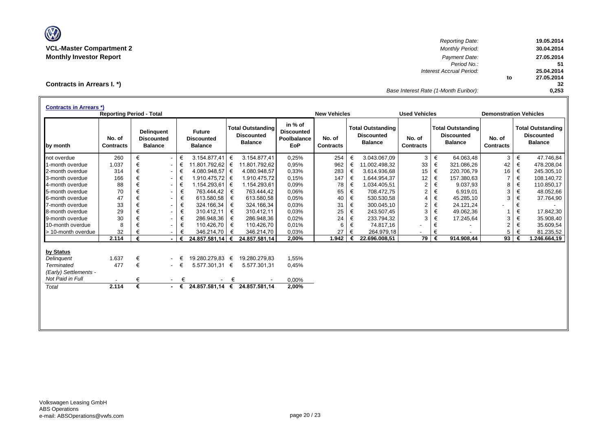

*Reporting Date:* **19.05.2014 VCL-Master Compartment 2** *Monthly Period:* **30.04.2014 Monthly Investor Report** *Payment Date:* **27.05.2014** *Period No.:* **51** *Interest Accrual Period:* **25.04.2014 to 27.05.2014 32** *Base Interest Rate (1-Month Euribor):* **0,253**

**Contracts in Arrears I. \*)**

| <b>Contracts in Arrears *)</b> | <b>Reporting Period - Total</b> |   |                                                          |        |                                                      |   |                                                                 |                                                           | <b>New Vehicles</b>        |   |                                                                 | <b>Used Vehicles</b>       |       |                                                                 |                            | <b>Demonstration Vehicles</b> |                                                                 |  |
|--------------------------------|---------------------------------|---|----------------------------------------------------------|--------|------------------------------------------------------|---|-----------------------------------------------------------------|-----------------------------------------------------------|----------------------------|---|-----------------------------------------------------------------|----------------------------|-------|-----------------------------------------------------------------|----------------------------|-------------------------------|-----------------------------------------------------------------|--|
| by month                       | No. of<br><b>Contracts</b>      |   | <b>Delinguent</b><br><b>Discounted</b><br><b>Balance</b> |        | <b>Future</b><br><b>Discounted</b><br><b>Balance</b> |   | <b>Total Outstanding</b><br><b>Discounted</b><br><b>Balance</b> | in % of<br><b>Discounted</b><br>Poolbalance<br><b>EoP</b> | No. of<br><b>Contracts</b> |   | <b>Total Outstanding</b><br><b>Discounted</b><br><b>Balance</b> | No. of<br><b>Contracts</b> |       | <b>Total Outstanding</b><br><b>Discounted</b><br><b>Balance</b> | No. of<br><b>Contracts</b> |                               | <b>Total Outstanding</b><br><b>Discounted</b><br><b>Balance</b> |  |
| not overdue                    | 260                             | € | $\sim$                                                   | €      | 3.154.877,41                                         | € | 3.154.877,41                                                    | 0,25%                                                     | 254                        | € | 3.043.067,09                                                    | 3                          | €     | 64.063,48                                                       | 3                          | €                             | 47.746,84                                                       |  |
| 1-month overdue                | 1.037                           | € | $\overline{\phantom{0}}$                                 | €      | 11.801.792,62                                        | € | 11.801.792.62                                                   | 0,95%                                                     | 962                        | € | 11.002.498,32                                                   | 33                         | €     | 321.086,26                                                      | 42                         | €                             | 478.208,04                                                      |  |
| 2-month overdue                | 314                             | € | $\sim$                                                   | €      | $4.080.948.57 \in$                                   |   | 4.080.948.57                                                    | 0.33%                                                     | 283                        | € | 3.614.936.68                                                    | 15                         | $\in$ | 220.706,79                                                      | 16                         | €                             | 245.305,10                                                      |  |
| 3-month overdue                | 166                             | € | $\overline{\phantom{0}}$                                 | €      | 1.910.475,72                                         | € | 1.910.475,72                                                    | 0,15%                                                     | 147                        | € | 1.644.954,37                                                    | 12                         | €     | 157.380,63                                                      | $\overline{7}$             | €                             | 108.140,72                                                      |  |
| 4-month overdue                | 88                              | € | $\overline{\phantom{0}}$                                 | €      | 1.154.293.61                                         | € | 1.154.293,61                                                    | 0,09%                                                     | 78                         | € | 1.034.405.51                                                    | $\overline{2}$             | €     | 9.037,93                                                        | 8                          | €                             | 110.850,17                                                      |  |
| 5-month overdue                | 70                              | € | $\sim$                                                   | €      | 763.444,42                                           | € | 763.444,42                                                      | 0,06%                                                     | 65                         | € | 708.472,75                                                      | $\overline{2}$             | €     | 6.919,01                                                        | 3                          | €                             | 48.052,66                                                       |  |
| 6-month overdue                | 47                              | € | $\sim$                                                   | €      | 613.580,58                                           | € | 613.580,58                                                      | 0,05%                                                     | 40                         | € | 530.530,58                                                      | $\overline{4}$             | €     | 45.285,10                                                       | 3                          | €                             | 37.764,90                                                       |  |
| 7-month overdue                | 33                              | € | $\sim$                                                   | €      | 324.166,34                                           | € | 324.166,34                                                      | 0.03%                                                     | 31                         | € | 300.045,10                                                      | $\overline{2}$             | €     | 24.121,24                                                       |                            | €                             |                                                                 |  |
| 8-month overdue                | 29                              | € | $\sim$                                                   | €      | 310.412,11                                           | € | 310.412,11                                                      | 0.03%                                                     | 25                         | € | 243.507,45                                                      | 3                          | €     | 49.062,36                                                       |                            | €                             | 17.842,30                                                       |  |
| 9-month overdue                | 30                              | € | $\overline{\phantom{0}}$                                 | €      | 286.948,36                                           | € | 286.948,36                                                      | 0,02%                                                     | 24                         | € | 233.794,32                                                      | 3                          | €     | 17.245,64                                                       | 3                          | €                             | 35.908,40                                                       |  |
| 10-month overdue               | 8                               |   | $\overline{\phantom{0}}$                                 | €      | 110.426,70                                           | € | 110.426,70                                                      | 0,01%                                                     | 6                          | € | 74.817,16                                                       | ٠                          | €     |                                                                 | $\overline{2}$             | €                             | 35.609,54                                                       |  |
| > 10-month overdue             | 32                              |   | $\overline{\phantom{0}}$                                 | €      | 346.214,70                                           | € | 346.214,70                                                      | 0,03%                                                     | 27                         | € | 264.979,18                                                      |                            | €     |                                                                 | 5                          | €                             | 81.235,52                                                       |  |
|                                | 2.114                           | € | $\sim$                                                   | €      | 24.857.581,14 €                                      |   | 24.857.581,14                                                   | 2,00%                                                     | 1.942                      | € | 22.696.008.51                                                   | 79 l                       | €     | 914.908,44                                                      | 93                         | €                             | 1.246.664,19                                                    |  |
| by Status                      |                                 |   |                                                          |        |                                                      |   |                                                                 |                                                           |                            |   |                                                                 |                            |       |                                                                 |                            |                               |                                                                 |  |
| Delinguent                     | 1.637                           | € |                                                          |        | 19.280.279.83 €                                      |   | 19.280.279.83                                                   | 1.55%                                                     |                            |   |                                                                 |                            |       |                                                                 |                            |                               |                                                                 |  |
| <b>Terminated</b>              | 477                             | € |                                                          | $ \in$ | 5.577.301,31 €                                       |   | 5.577.301,31                                                    | 0,45%                                                     |                            |   |                                                                 |                            |       |                                                                 |                            |                               |                                                                 |  |
| (Early) Settlements -          |                                 |   |                                                          |        |                                                      |   |                                                                 |                                                           |                            |   |                                                                 |                            |       |                                                                 |                            |                               |                                                                 |  |
| Not Paid in Full               |                                 | € | $\sim 100$                                               | €      |                                                      | € |                                                                 | 0,00%                                                     |                            |   |                                                                 |                            |       |                                                                 |                            |                               |                                                                 |  |
| Total                          | 2.114                           | € |                                                          | - €    |                                                      |   | 24.857.581.14 € 24.857.581.14                                   | 2,00%                                                     |                            |   |                                                                 |                            |       |                                                                 |                            |                               |                                                                 |  |
|                                |                                 |   |                                                          |        |                                                      |   |                                                                 |                                                           |                            |   |                                                                 |                            |       |                                                                 |                            |                               |                                                                 |  |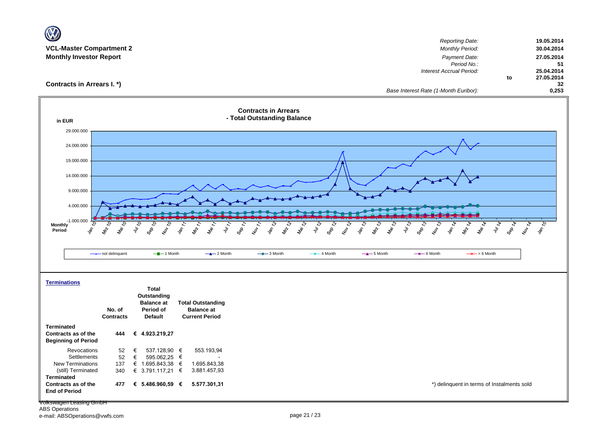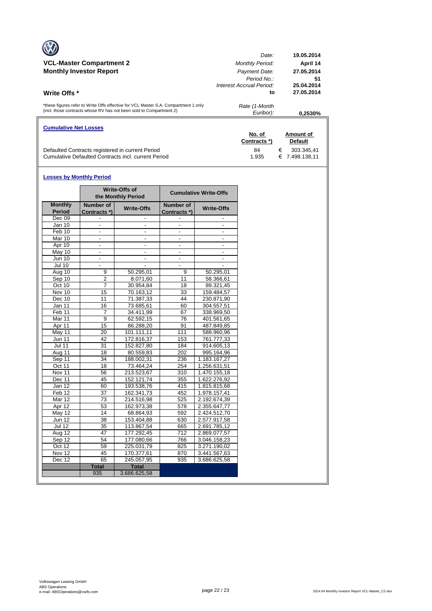|                                                                                     | Date:                    | 19.05.2014 |
|-------------------------------------------------------------------------------------|--------------------------|------------|
| <b>VCL-Master Compartment 2</b>                                                     | <b>Monthly Period:</b>   | April 14   |
| <b>Monthly Investor Report</b>                                                      | Payment Date:            | 27.05.2014 |
|                                                                                     | Period No.:              | 51         |
|                                                                                     | Interest Accrual Period: | 25.04.2014 |
| <b>Write Offs</b> *                                                                 | to                       | 27.05.2014 |
| *these figures refer to Write Offs effective for VCL Master S.A. Compartment 1 only | Rate (1-Month            |            |
| (incl. those contracts whose RV has not been sold to Compartment 2)                 | Euribor):                | 0.2530%    |
| <b>Cumulative Net Losses</b>                                                        |                          |            |

|                                                     | No. of<br>Contracts *) | Amount of<br><b>Default</b>       |
|-----------------------------------------------------|------------------------|-----------------------------------|
| Defaulted Contracts registered in current Period    | 84                     | 303.345.41<br>€<br>€ 7.498.138.11 |
| Cumulative Defaulted Contracts incl. current Period | 1.935                  |                                   |

#### **Losses by Monthly Period**

 $\overline{\phantom{a}}$ 

|                                 |                           | Write-Offs of<br>the Monthly Period | <b>Cumulative Write-Offs</b> |                   |  |  |  |  |
|---------------------------------|---------------------------|-------------------------------------|------------------------------|-------------------|--|--|--|--|
| <b>Monthly</b><br><b>Period</b> | Number of<br>Contracts *) | <b>Write-Offs</b>                   | Number of<br>Contracts *)    | <b>Write-Offs</b> |  |  |  |  |
| Dec 09                          |                           |                                     |                              |                   |  |  |  |  |
| <b>Jan 10</b>                   | $\blacksquare$            | $\overline{\phantom{a}}$            | $\mathbf{r}$                 | $\blacksquare$    |  |  |  |  |
| Feb 10                          | $\overline{\phantom{a}}$  | $\overline{\phantom{a}}$            | $\blacksquare$               |                   |  |  |  |  |
| Mar 10                          |                           |                                     |                              |                   |  |  |  |  |
| Apr 10                          | $\blacksquare$            | $\blacksquare$                      | $\blacksquare$               | $\overline{a}$    |  |  |  |  |
| May 10                          | $\overline{\phantom{a}}$  | $\blacksquare$                      | $\overline{a}$               |                   |  |  |  |  |
| <b>Jun 10</b>                   | ÷,                        |                                     |                              |                   |  |  |  |  |
| <b>Jul 10</b>                   | $\blacksquare$            | $\blacksquare$                      | $\blacksquare$               |                   |  |  |  |  |
| Aug 10                          | 9                         | 50.295,01                           | 9                            | 50.295,01         |  |  |  |  |
| Sep 10                          | $\overline{2}$            | 8.071,60                            | 11                           | 58.366,61         |  |  |  |  |
| Oct 10                          | $\overline{7}$            | 30.954,84                           | 18                           | 89.321,45         |  |  |  |  |
| Nov 10                          | 15                        | 70.163,12                           | 33                           | 159.484,57        |  |  |  |  |
| Dec 10                          | 11                        | 71.387,33                           | 44                           | 230.871,90        |  |  |  |  |
| Jan 11                          | 16                        | 73.685,61                           | 60                           | 304.557,51        |  |  |  |  |
| Feb 11                          | 7                         | 34.411,99                           | 67                           | 338.969,50        |  |  |  |  |
| <b>Mar 11</b>                   | $\overline{9}$            | 62.592,15                           | 76                           | 401.561,65        |  |  |  |  |
| Apr 11                          | 15                        | 86.288,20                           | 91                           | 487.849,85        |  |  |  |  |
| May 11                          | 20                        | 101.111,11                          | 111                          | 588.960,96        |  |  |  |  |
| Jun 11                          | 42                        | 172.816,37                          | 153                          | 761.777,33        |  |  |  |  |
| $\overline{J}$ ul 11            | 31                        | 152.827,80                          | 184                          | 914.605,13        |  |  |  |  |
| Aug 11                          | 18                        | 80.559,83                           | 202                          | 995.164,96        |  |  |  |  |
| Sep 11                          | 34                        | 188.002,31                          | 236                          | 1.183.167,27      |  |  |  |  |
| Oct 11                          | 18                        | 73.464,24                           | 254                          | 1.256.631,51      |  |  |  |  |
| Nov 11                          | 56                        | 213.523,67                          | 310                          | 1.470.155,18      |  |  |  |  |
| Dec 11                          | 45                        | 152.121,74                          | 355                          | 1.622.276,92      |  |  |  |  |
| Jan 12                          | 60                        | 193.538,76                          | 415                          | 1.815.815,68      |  |  |  |  |
| Feb 12                          | 37                        | 162.341,73                          | 452                          | 1.978.157,41      |  |  |  |  |
| <b>Mar 12</b>                   | 73                        | 214.516,98                          | 525                          | 2.192.674,39      |  |  |  |  |
| Apr 12                          | 53                        | 162.973,38                          | 578                          | 2.355.647,77      |  |  |  |  |
| <b>May 12</b>                   | 14                        | 68.864,93                           | 592                          | 2.424.512,70      |  |  |  |  |
| <b>Jun 12</b>                   | 38                        | 153.404,88                          | 630                          | 2.577.917,58      |  |  |  |  |
| <b>Jul 12</b>                   | 35                        | 113.867,54                          | 665                          | 2.691.785,12      |  |  |  |  |
| Aug 12                          | 47                        | 177.292,45                          | 712                          | 2.869.077,57      |  |  |  |  |
| Sep 12                          | 54                        | 177.080,66                          | 766                          | 3.046.158,23      |  |  |  |  |
| Oct 12                          | 59                        | 225.031,79                          | 825                          | 3.271.190,02      |  |  |  |  |
| Nov 12                          | 45                        | 170.377,61                          | 870                          | 3.441.567,63      |  |  |  |  |
| Dec 12                          | 65                        | 245.057,95                          | 935                          | 3.686.625,58      |  |  |  |  |
|                                 | <b>Total</b>              | <b>Total</b>                        |                              |                   |  |  |  |  |
|                                 | 935                       | 3.686.625,58                        |                              |                   |  |  |  |  |
|                                 |                           |                                     |                              |                   |  |  |  |  |